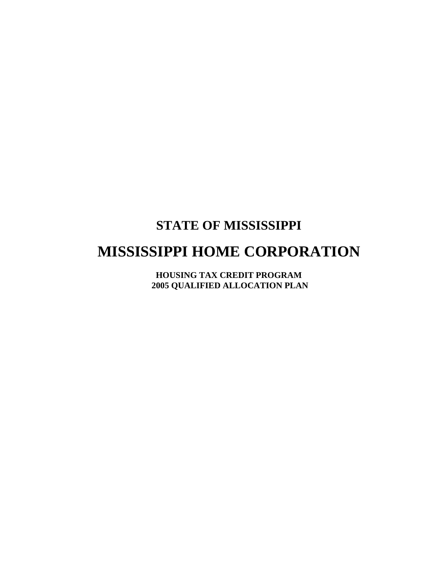### **STATE OF MISSISSIPPI**

# **MISSISSIPPI HOME CORPORATION**

**HOUSING TAX CREDIT PROGRAM 2005 QUALIFIED ALLOCATION PLAN**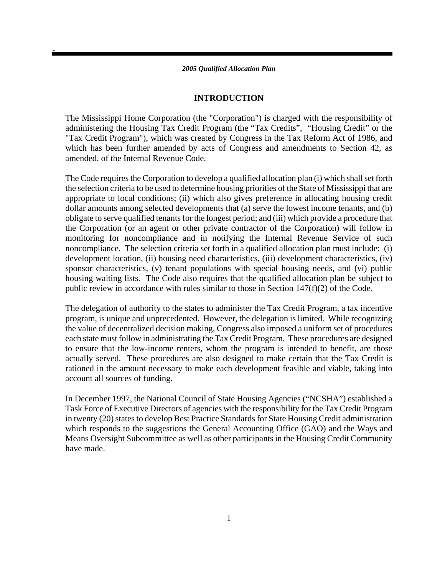1

### **INTRODUCTION**

The Mississippi Home Corporation (the "Corporation") is charged with the responsibility of administering the Housing Tax Credit Program (the "Tax Credits", "Housing Credit" or the "Tax Credit Program"), which was created by Congress in the Tax Reform Act of 1986, and which has been further amended by acts of Congress and amendments to Section 42, as amended, of the Internal Revenue Code.

The Code requires the Corporation to develop a qualified allocation plan (i) which shall set forth the selection criteria to be used to determine housing priorities of the State of Mississippi that are appropriate to local conditions; (ii) which also gives preference in allocating housing credit dollar amounts among selected developments that (a) serve the lowest income tenants, and (b) obligate to serve qualified tenants for the longest period; and (iii) which provide a procedure that the Corporation (or an agent or other private contractor of the Corporation) will follow in monitoring for noncompliance and in notifying the Internal Revenue Service of such noncompliance. The selection criteria set forth in a qualified allocation plan must include: (i) development location, (ii) housing need characteristics, (iii) development characteristics, (iv) sponsor characteristics, (v) tenant populations with special housing needs, and (vi) public housing waiting lists. The Code also requires that the qualified allocation plan be subject to public review in accordance with rules similar to those in Section 147(f)(2) of the Code.

The delegation of authority to the states to administer the Tax Credit Program, a tax incentive program, is unique and unprecedented. However, the delegation is limited. While recognizing the value of decentralized decision making, Congress also imposed a uniform set of procedures each state must follow in administrating the Tax Credit Program. These procedures are designed to ensure that the low-income renters, whom the program is intended to benefit, are those actually served. These procedures are also designed to make certain that the Tax Credit is rationed in the amount necessary to make each development feasible and viable, taking into account all sources of funding.

In December 1997, the National Council of State Housing Agencies ("NCSHA") established a Task Force of Executive Directors of agencies with the responsibility for the Tax Credit Program in twenty (20) states to develop Best Practice Standards for State Housing Credit administration which responds to the suggestions the General Accounting Office (GAO) and the Ways and Means Oversight Subcommittee as well as other participants in the Housing Credit Community have made.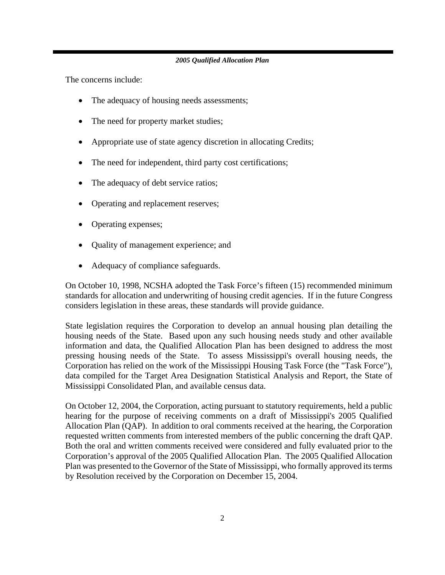The concerns include:

- The adequacy of housing needs assessments;
- The need for property market studies;
- Appropriate use of state agency discretion in allocating Credits;
- The need for independent, third party cost certifications;
- The adequacy of debt service ratios;
- Operating and replacement reserves;
- Operating expenses;
- Quality of management experience; and
- Adequacy of compliance safeguards.

On October 10, 1998, NCSHA adopted the Task Force's fifteen (15) recommended minimum standards for allocation and underwriting of housing credit agencies. If in the future Congress considers legislation in these areas, these standards will provide guidance.

State legislation requires the Corporation to develop an annual housing plan detailing the housing needs of the State. Based upon any such housing needs study and other available information and data, the Qualified Allocation Plan has been designed to address the most pressing housing needs of the State. To assess Mississippi's overall housing needs, the Corporation has relied on the work of the Mississippi Housing Task Force (the "Task Force"), data compiled for the Target Area Designation Statistical Analysis and Report, the State of Mississippi Consolidated Plan, and available census data.

On October 12, 2004, the Corporation, acting pursuant to statutory requirements, held a public hearing for the purpose of receiving comments on a draft of Mississippi's 2005 Qualified Allocation Plan (QAP). In addition to oral comments received at the hearing, the Corporation requested written comments from interested members of the public concerning the draft QAP. Both the oral and written comments received were considered and fully evaluated prior to the Corporation's approval of the 2005 Qualified Allocation Plan. The 2005 Qualified Allocation Plan was presented to the Governor of the State of Mississippi, who formally approved its terms by Resolution received by the Corporation on December 15, 2004.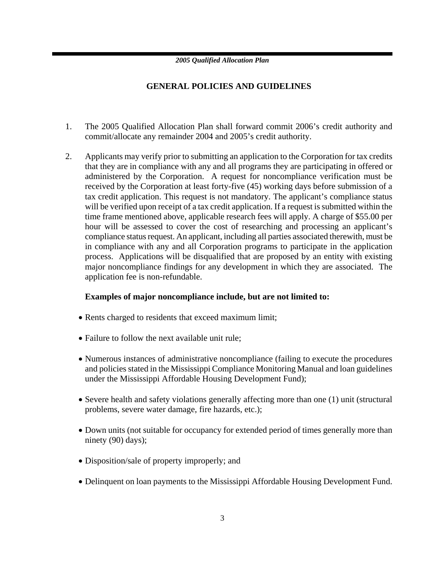### **GENERAL POLICIES AND GUIDELINES**

- 1. The 2005 Qualified Allocation Plan shall forward commit 2006's credit authority and commit/allocate any remainder 2004 and 2005's credit authority.
- 2. Applicants may verify prior to submitting an application to the Corporation for tax credits that they are in compliance with any and all programs they are participating in offered or administered by the Corporation. A request for noncompliance verification must be received by the Corporation at least forty-five (45) working days before submission of a tax credit application. This request is not mandatory. The applicant's compliance status will be verified upon receipt of a tax credit application. If a request is submitted within the time frame mentioned above, applicable research fees will apply. A charge of \$55.00 per hour will be assessed to cover the cost of researching and processing an applicant's compliance status request. An applicant, including all parties associated therewith, must be in compliance with any and all Corporation programs to participate in the application process. Applications will be disqualified that are proposed by an entity with existing major noncompliance findings for any development in which they are associated. The application fee is non-refundable.

### **Examples of major noncompliance include, but are not limited to:**

- Rents charged to residents that exceed maximum limit;
- Failure to follow the next available unit rule;
- Numerous instances of administrative noncompliance (failing to execute the procedures and policies stated in the Mississippi Compliance Monitoring Manual and loan guidelines under the Mississippi Affordable Housing Development Fund);
- Severe health and safety violations generally affecting more than one (1) unit (structural problems, severe water damage, fire hazards, etc.);
- Down units (not suitable for occupancy for extended period of times generally more than ninety (90) days);
- Disposition/sale of property improperly; and
- Delinquent on loan payments to the Mississippi Affordable Housing Development Fund.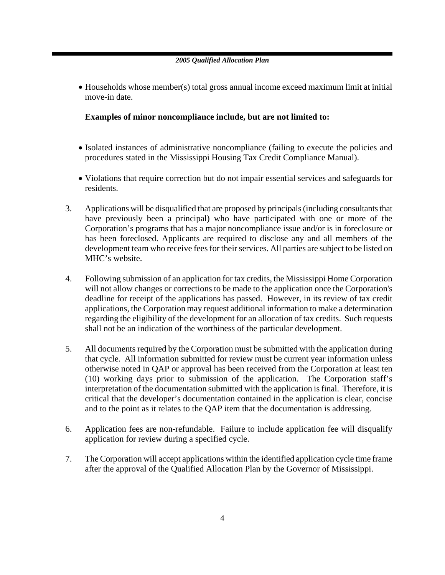• Households whose member(s) total gross annual income exceed maximum limit at initial move-in date.

### **Examples of minor noncompliance include, but are not limited to:**

- Isolated instances of administrative noncompliance (failing to execute the policies and procedures stated in the Mississippi Housing Tax Credit Compliance Manual).
- Violations that require correction but do not impair essential services and safeguards for residents.
- 3. Applications will be disqualified that are proposed by principals (including consultants that have previously been a principal) who have participated with one or more of the Corporation's programs that has a major noncompliance issue and/or is in foreclosure or has been foreclosed. Applicants are required to disclose any and all members of the development team who receive fees for their services. All parties are subject to be listed on MHC's website.
- 4. Following submission of an application for tax credits, the Mississippi Home Corporation will not allow changes or corrections to be made to the application once the Corporation's deadline for receipt of the applications has passed. However, in its review of tax credit applications, the Corporation may request additional information to make a determination regarding the eligibility of the development for an allocation of tax credits. Such requests shall not be an indication of the worthiness of the particular development.
- 5. All documents required by the Corporation must be submitted with the application during that cycle. All information submitted for review must be current year information unless otherwise noted in QAP or approval has been received from the Corporation at least ten (10) working days prior to submission of the application. The Corporation staff's interpretation of the documentation submitted with the application is final. Therefore, it is critical that the developer's documentation contained in the application is clear, concise and to the point as it relates to the QAP item that the documentation is addressing.
- 6. Application fees are non-refundable. Failure to include application fee will disqualify application for review during a specified cycle.
- 7. The Corporation will accept applications within the identified application cycle time frame after the approval of the Qualified Allocation Plan by the Governor of Mississippi.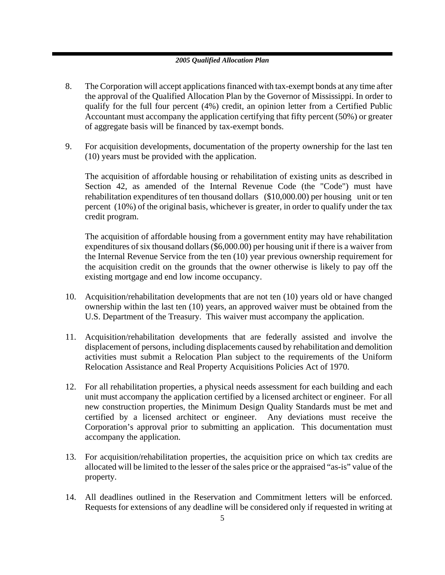- 8. The Corporation will accept applications financed with tax-exempt bonds at any time after the approval of the Qualified Allocation Plan by the Governor of Mississippi. In order to qualify for the full four percent (4%) credit, an opinion letter from a Certified Public Accountant must accompany the application certifying that fifty percent (50%) or greater of aggregate basis will be financed by tax-exempt bonds.
- 9. For acquisition developments, documentation of the property ownership for the last ten (10) years must be provided with the application.

The acquisition of affordable housing or rehabilitation of existing units as described in Section 42, as amended of the Internal Revenue Code (the "Code") must have rehabilitation expenditures of ten thousand dollars (\$10,000.00) per housing unit or ten percent (10%) of the original basis, whichever is greater, in order to qualify under the tax credit program.

The acquisition of affordable housing from a government entity may have rehabilitation expenditures of six thousand dollars (\$6,000.00) per housing unit if there is a waiver from the Internal Revenue Service from the ten (10) year previous ownership requirement for the acquisition credit on the grounds that the owner otherwise is likely to pay off the existing mortgage and end low income occupancy.

- 10. Acquisition/rehabilitation developments that are not ten (10) years old or have changed ownership within the last ten (10) years, an approved waiver must be obtained from the U.S. Department of the Treasury. This waiver must accompany the application.
- 11. Acquisition/rehabilitation developments that are federally assisted and involve the displacement of persons, including displacements caused by rehabilitation and demolition activities must submit a Relocation Plan subject to the requirements of the Uniform Relocation Assistance and Real Property Acquisitions Policies Act of 1970.
- 12. For all rehabilitation properties, a physical needs assessment for each building and each unit must accompany the application certified by a licensed architect or engineer. For all new construction properties, the Minimum Design Quality Standards must be met and certified by a licensed architect or engineer. Any deviations must receive the Corporation's approval prior to submitting an application. This documentation must accompany the application.
- 13. For acquisition/rehabilitation properties, the acquisition price on which tax credits are allocated will be limited to the lesser of the sales price or the appraised "as-is" value of the property.
- 14. All deadlines outlined in the Reservation and Commitment letters will be enforced. Requests for extensions of any deadline will be considered only if requested in writing at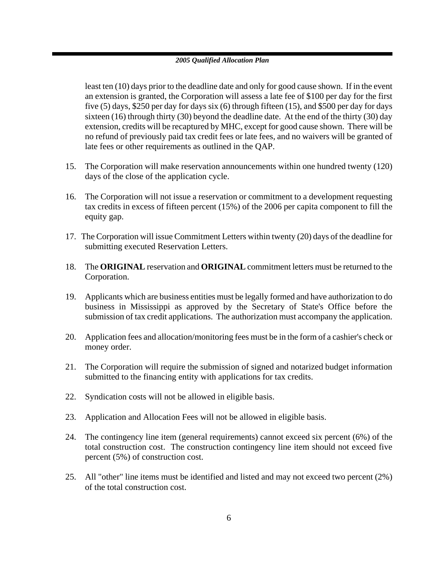least ten (10) days prior to the deadline date and only for good cause shown. If in the event an extension is granted, the Corporation will assess a late fee of \$100 per day for the first five (5) days, \$250 per day for days six (6) through fifteen (15), and \$500 per day for days sixteen (16) through thirty (30) beyond the deadline date. At the end of the thirty (30) day extension, credits will be recaptured by MHC, except for good cause shown. There will be no refund of previously paid tax credit fees or late fees, and no waivers will be granted of late fees or other requirements as outlined in the QAP.

- 15. The Corporation will make reservation announcements within one hundred twenty (120) days of the close of the application cycle.
- 16. The Corporation will not issue a reservation or commitment to a development requesting tax credits in excess of fifteen percent (15%) of the 2006 per capita component to fill the equity gap.
- 17. The Corporation will issue Commitment Letters within twenty (20) days of the deadline for submitting executed Reservation Letters.
- 18. The **ORIGINAL** reservation and **ORIGINAL** commitment letters must be returned to the Corporation.
- 19. Applicants which are business entities must be legally formed and have authorization to do business in Mississippi as approved by the Secretary of State's Office before the submission of tax credit applications. The authorization must accompany the application.
- 20. Application fees and allocation/monitoring fees must be in the form of a cashier's check or money order.
- 21. The Corporation will require the submission of signed and notarized budget information submitted to the financing entity with applications for tax credits.
- 22. Syndication costs will not be allowed in eligible basis.
- 23. Application and Allocation Fees will not be allowed in eligible basis.
- 24. The contingency line item (general requirements) cannot exceed six percent (6%) of the total construction cost. The construction contingency line item should not exceed five percent (5%) of construction cost.
- 25. All "other" line items must be identified and listed and may not exceed two percent (2%) of the total construction cost.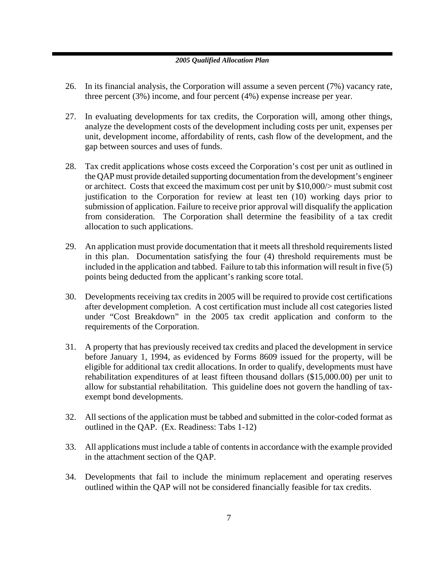- 26. In its financial analysis, the Corporation will assume a seven percent (7%) vacancy rate, three percent (3%) income, and four percent (4%) expense increase per year.
- 27. In evaluating developments for tax credits, the Corporation will, among other things, analyze the development costs of the development including costs per unit, expenses per unit, development income, affordability of rents, cash flow of the development, and the gap between sources and uses of funds.
- 28. Tax credit applications whose costs exceed the Corporation's cost per unit as outlined in the QAP must provide detailed supporting documentation from the development's engineer or architect. Costs that exceed the maximum cost per unit by \$10,000/> must submit cost justification to the Corporation for review at least ten (10) working days prior to submission of application. Failure to receive prior approval will disqualify the application from consideration. The Corporation shall determine the feasibility of a tax credit allocation to such applications.
- 29. An application must provide documentation that it meets all threshold requirements listed in this plan. Documentation satisfying the four (4) threshold requirements must be included in the application and tabbed. Failure to tab this information will result in five (5) points being deducted from the applicant's ranking score total.
- 30. Developments receiving tax credits in 2005 will be required to provide cost certifications after development completion. A cost certification must include all cost categories listed under "Cost Breakdown" in the 2005 tax credit application and conform to the requirements of the Corporation.
- 31. A property that has previously received tax credits and placed the development in service before January 1, 1994, as evidenced by Forms 8609 issued for the property, will be eligible for additional tax credit allocations. In order to qualify, developments must have rehabilitation expenditures of at least fifteen thousand dollars (\$15,000.00) per unit to allow for substantial rehabilitation. This guideline does not govern the handling of taxexempt bond developments.
- 32. All sections of the application must be tabbed and submitted in the color-coded format as outlined in the QAP. (Ex. Readiness: Tabs 1-12)
- 33. All applications must include a table of contents in accordance with the example provided in the attachment section of the QAP.
- 34. Developments that fail to include the minimum replacement and operating reserves outlined within the QAP will not be considered financially feasible for tax credits.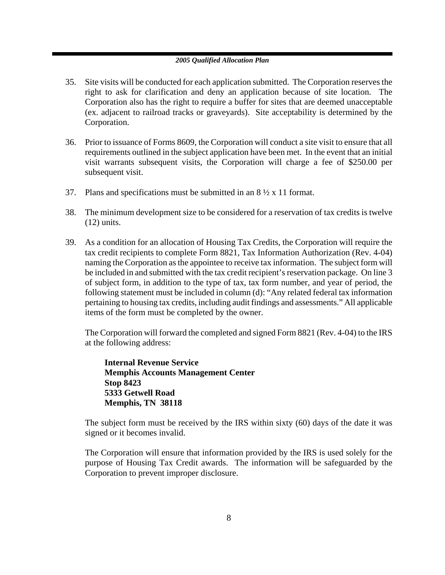- 35. Site visits will be conducted for each application submitted. The Corporation reserves the right to ask for clarification and deny an application because of site location. The Corporation also has the right to require a buffer for sites that are deemed unacceptable (ex. adjacent to railroad tracks or graveyards). Site acceptability is determined by the Corporation.
- 36. Prior to issuance of Forms 8609, the Corporation will conduct a site visit to ensure that all requirements outlined in the subject application have been met. In the event that an initial visit warrants subsequent visits, the Corporation will charge a fee of \$250.00 per subsequent visit.
- 37. Plans and specifications must be submitted in an  $8\frac{1}{2} \times 11$  format.
- 38. The minimum development size to be considered for a reservation of tax credits is twelve (12) units.
- 39. As a condition for an allocation of Housing Tax Credits, the Corporation will require the tax credit recipients to complete Form 8821, Tax Information Authorization (Rev. 4-04) naming the Corporation as the appointee to receive tax information. The subject form will be included in and submitted with the tax credit recipient's reservation package. On line 3 of subject form, in addition to the type of tax, tax form number, and year of period, the following statement must be included in column (d): "Any related federal tax information pertaining to housing tax credits, including audit findings and assessments." All applicable items of the form must be completed by the owner.

The Corporation will forward the completed and signed Form 8821 (Rev. 4-04) to the IRS at the following address:

**Internal Revenue Service Memphis Accounts Management Center Stop 8423 5333 Getwell Road Memphis, TN 38118**

The subject form must be received by the IRS within sixty (60) days of the date it was signed or it becomes invalid.

The Corporation will ensure that information provided by the IRS is used solely for the purpose of Housing Tax Credit awards. The information will be safeguarded by the Corporation to prevent improper disclosure.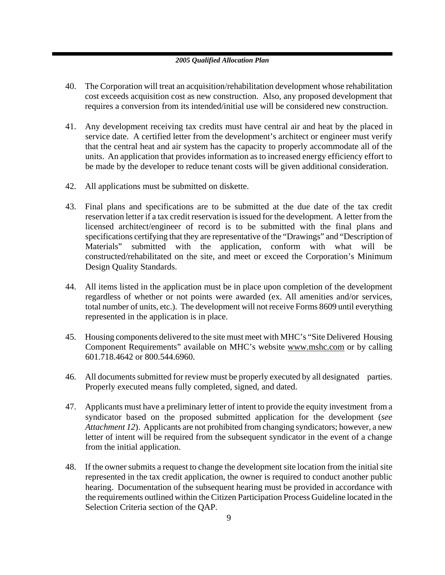- 40. The Corporation will treat an acquisition/rehabilitation development whose rehabilitation cost exceeds acquisition cost as new construction. Also, any proposed development that requires a conversion from its intended/initial use will be considered new construction.
- 41. Any development receiving tax credits must have central air and heat by the placed in service date. A certified letter from the development's architect or engineer must verify that the central heat and air system has the capacity to properly accommodate all of the units. An application that provides information as to increased energy efficiency effort to be made by the developer to reduce tenant costs will be given additional consideration.
- 42. All applications must be submitted on diskette.
- 43. Final plans and specifications are to be submitted at the due date of the tax credit reservation letter if a tax credit reservation is issued for the development. A letter from the licensed architect/engineer of record is to be submitted with the final plans and specifications certifying that they are representative of the "Drawings" and "Description of Materials" submitted with the application, conform with what will be constructed/rehabilitated on the site, and meet or exceed the Corporation's Minimum Design Quality Standards.
- 44. All items listed in the application must be in place upon completion of the development regardless of whether or not points were awarded (ex. All amenities and/or services, total number of units, etc.). The development will not receive Forms 8609 until everything represented in the application is in place.
- 45. Housing components delivered to the site must meet with MHC's "Site Delivered Housing Component Requirements" available on MHC's website www.mshc.com or by calling 601.718.4642 or 800.544.6960.
- 46. All documents submitted for review must be properly executed by all designated parties. Properly executed means fully completed, signed, and dated.
- 47. Applicants must have a preliminary letter of intent to provide the equity investment from a syndicator based on the proposed submitted application for the development (*see Attachment 12*). Applicants are not prohibited from changing syndicators; however, a new letter of intent will be required from the subsequent syndicator in the event of a change from the initial application.
- 48. If the owner submits a request to change the development site location from the initial site represented in the tax credit application, the owner is required to conduct another public hearing. Documentation of the subsequent hearing must be provided in accordance with the requirements outlined within the Citizen Participation Process Guideline located in the Selection Criteria section of the QAP.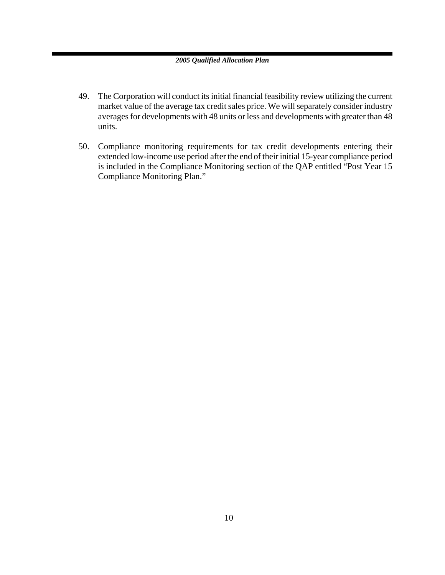- 49. The Corporation will conduct its initial financial feasibility review utilizing the current market value of the average tax credit sales price. We will separately consider industry averages for developments with 48 units or less and developments with greater than 48 units.
- 50. Compliance monitoring requirements for tax credit developments entering their extended low-income use period after the end of their initial 15-year compliance period is included in the Compliance Monitoring section of the QAP entitled "Post Year 15 Compliance Monitoring Plan."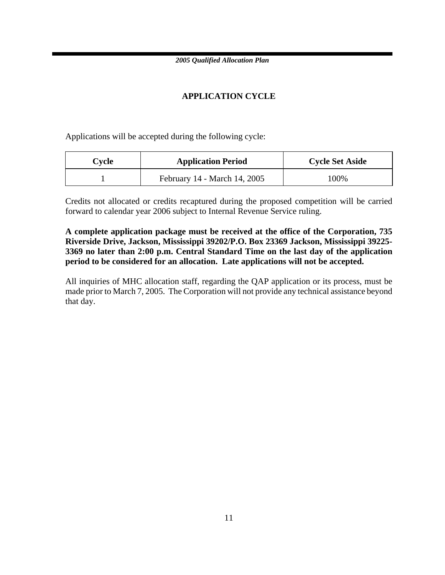### **APPLICATION CYCLE**

Applications will be accepted during the following cycle:

| Cvcle | <b>Application Period</b>    | <b>Cycle Set Aside</b> |
|-------|------------------------------|------------------------|
|       | February 14 - March 14, 2005 | 100%                   |

Credits not allocated or credits recaptured during the proposed competition will be carried forward to calendar year 2006 subject to Internal Revenue Service ruling.

**A complete application package must be received at the office of the Corporation, 735 Riverside Drive, Jackson, Mississippi 39202/P.O. Box 23369 Jackson, Mississippi 39225- 3369 no later than 2:00 p.m. Central Standard Time on the last day of the application period to be considered for an allocation. Late applications will not be accepted.** 

All inquiries of MHC allocation staff, regarding the QAP application or its process, must be made prior to March 7, 2005. The Corporation will not provide any technical assistance beyond that day.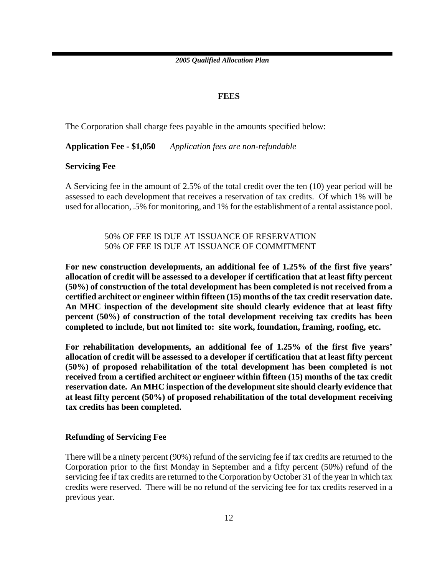### **FEES**

The Corporation shall charge fees payable in the amounts specified below:

**Application Fee - \$1,050** *Application fees are non-refundable*

**Servicing Fee** 

A Servicing fee in the amount of 2.5% of the total credit over the ten (10) year period will be assessed to each development that receives a reservation of tax credits. Of which 1% will be used for allocation, .5% for monitoring, and 1% for the establishment of a rental assistance pool.

> 50% OF FEE IS DUE AT ISSUANCE OF RESERVATION 50% OF FEE IS DUE AT ISSUANCE OF COMMITMENT

**For new construction developments, an additional fee of 1.25% of the first five years' allocation of credit will be assessed to a developer if certification that at least fifty percent (50%) of construction of the total development has been completed is not received from a certified architect or engineer within fifteen (15) months of the tax credit reservation date. An MHC inspection of the development site should clearly evidence that at least fifty percent (50%) of construction of the total development receiving tax credits has been completed to include, but not limited to: site work, foundation, framing, roofing, etc.** 

**For rehabilitation developments, an additional fee of 1.25% of the first five years' allocation of credit will be assessed to a developer if certification that at least fifty percent (50%) of proposed rehabilitation of the total development has been completed is not received from a certified architect or engineer within fifteen (15) months of the tax credit reservation date. An MHC inspection of the development site should clearly evidence that at least fifty percent (50%) of proposed rehabilitation of the total development receiving tax credits has been completed.** 

### **Refunding of Servicing Fee**

There will be a ninety percent (90%) refund of the servicing fee if tax credits are returned to the Corporation prior to the first Monday in September and a fifty percent (50%) refund of the servicing fee if tax credits are returned to the Corporation by October 31 of the year in which tax credits were reserved. There will be no refund of the servicing fee for tax credits reserved in a previous year.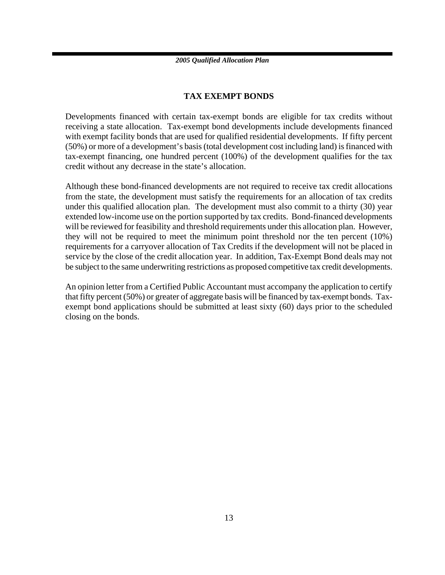### **TAX EXEMPT BONDS**

Developments financed with certain tax-exempt bonds are eligible for tax credits without receiving a state allocation. Tax-exempt bond developments include developments financed with exempt facility bonds that are used for qualified residential developments. If fifty percent (50%) or more of a development's basis (total development cost including land) is financed with tax-exempt financing, one hundred percent (100%) of the development qualifies for the tax credit without any decrease in the state's allocation.

Although these bond-financed developments are not required to receive tax credit allocations from the state, the development must satisfy the requirements for an allocation of tax credits under this qualified allocation plan. The development must also commit to a thirty (30) year extended low-income use on the portion supported by tax credits. Bond-financed developments will be reviewed for feasibility and threshold requirements under this allocation plan. However, they will not be required to meet the minimum point threshold nor the ten percent (10%) requirements for a carryover allocation of Tax Credits if the development will not be placed in service by the close of the credit allocation year. In addition, Tax-Exempt Bond deals may not be subject to the same underwriting restrictions as proposed competitive tax credit developments.

An opinion letter from a Certified Public Accountant must accompany the application to certify that fifty percent (50%) or greater of aggregate basis will be financed by tax-exempt bonds. Taxexempt bond applications should be submitted at least sixty (60) days prior to the scheduled closing on the bonds.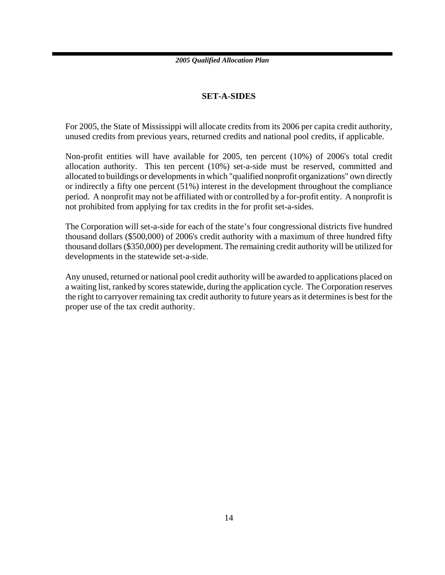### **SET-A-SIDES**

For 2005, the State of Mississippi will allocate credits from its 2006 per capita credit authority, unused credits from previous years, returned credits and national pool credits, if applicable.

Non-profit entities will have available for 2005, ten percent (10%) of 2006's total credit allocation authority. This ten percent (10%) set-a-side must be reserved, committed and allocated to buildings or developments in which "qualified nonprofit organizations" own directly or indirectly a fifty one percent (51%) interest in the development throughout the compliance period. A nonprofit may not be affiliated with or controlled by a for-profit entity. A nonprofit is not prohibited from applying for tax credits in the for profit set-a-sides.

The Corporation will set-a-side for each of the state's four congressional districts five hundred thousand dollars (\$500,000) of 2006's credit authority with a maximum of three hundred fifty thousand dollars (\$350,000) per development. The remaining credit authority will be utilized for developments in the statewide set-a-side.

Any unused, returned or national pool credit authority will be awarded to applications placed on a waiting list, ranked by scores statewide, during the application cycle. The Corporation reserves the right to carryover remaining tax credit authority to future years as it determines is best for the proper use of the tax credit authority.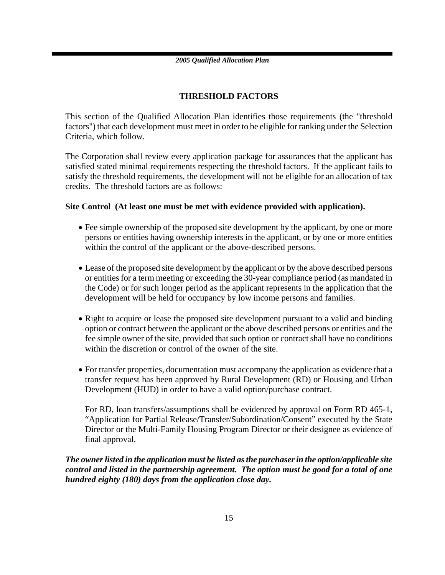### **THRESHOLD FACTORS**

This section of the Qualified Allocation Plan identifies those requirements (the "threshold factors") that each development must meet in order to be eligible for ranking under the Selection Criteria, which follow.

The Corporation shall review every application package for assurances that the applicant has satisfied stated minimal requirements respecting the threshold factors. If the applicant fails to satisfy the threshold requirements, the development will not be eligible for an allocation of tax credits. The threshold factors are as follows:

### **Site Control (At least one must be met with evidence provided with application).**

- Fee simple ownership of the proposed site development by the applicant, by one or more persons or entities having ownership interests in the applicant, or by one or more entities within the control of the applicant or the above-described persons.
- Lease of the proposed site development by the applicant or by the above described persons or entities for a term meeting or exceeding the 30-year compliance period (as mandated in the Code) or for such longer period as the applicant represents in the application that the development will be held for occupancy by low income persons and families.
- Right to acquire or lease the proposed site development pursuant to a valid and binding option or contract between the applicant or the above described persons or entities and the fee simple owner of the site, provided that such option or contract shall have no conditions within the discretion or control of the owner of the site.
- For transfer properties, documentation must accompany the application as evidence that a transfer request has been approved by Rural Development (RD) or Housing and Urban Development (HUD) in order to have a valid option/purchase contract.

For RD, loan transfers/assumptions shall be evidenced by approval on Form RD 465-1, "Application for Partial Release/Transfer/Subordination/Consent" executed by the State Director or the Multi-Family Housing Program Director or their designee as evidence of final approval.

*The owner listed in the application must be listed as the purchaser in the option/applicable site control and listed in the partnership agreement. The option must be good for a total of one hundred eighty (180) days from the application close day.*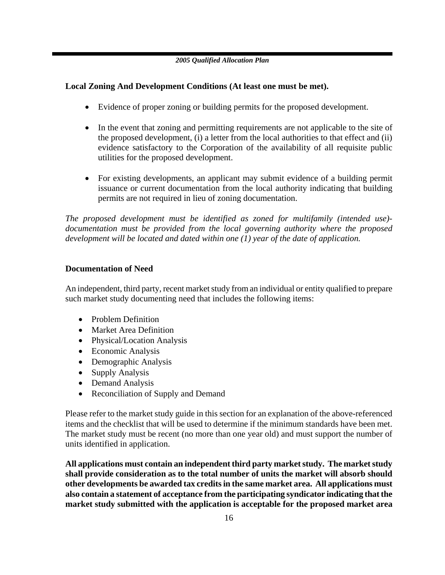### **Local Zoning And Development Conditions (At least one must be met).**

- Evidence of proper zoning or building permits for the proposed development.
- In the event that zoning and permitting requirements are not applicable to the site of the proposed development, (i) a letter from the local authorities to that effect and (ii) evidence satisfactory to the Corporation of the availability of all requisite public utilities for the proposed development.
- For existing developments, an applicant may submit evidence of a building permit issuance or current documentation from the local authority indicating that building permits are not required in lieu of zoning documentation.

*The proposed development must be identified as zoned for multifamily (intended use) documentation must be provided from the local governing authority where the proposed development will be located and dated within one (1) year of the date of application.* 

### **Documentation of Need**

An independent, third party, recent market study from an individual or entity qualified to prepare such market study documenting need that includes the following items:

- Problem Definition
- Market Area Definition
- Physical/Location Analysis
- Economic Analysis
- Demographic Analysis
- Supply Analysis
- Demand Analysis
- Reconciliation of Supply and Demand

Please refer to the market study guide in this section for an explanation of the above-referenced items and the checklist that will be used to determine if the minimum standards have been met. The market study must be recent (no more than one year old) and must support the number of units identified in application.

**All applications must contain an independent third party market study. The market study shall provide consideration as to the total number of units the market will absorb should other developments be awarded tax credits in the same market area. All applications must also contain a statement of acceptance from the participating syndicator indicating that the market study submitted with the application is acceptable for the proposed market area**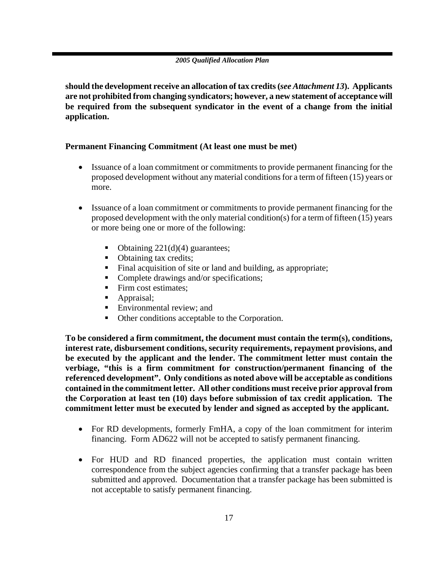**should the development receive an allocation of tax credits (***see Attachment 13***). Applicants are not prohibited from changing syndicators; however, a new statement of acceptance will be required from the subsequent syndicator in the event of a change from the initial application.**

### **Permanent Financing Commitment (At least one must be met)**

- Issuance of a loan commitment or commitments to provide permanent financing for the proposed development without any material conditions for a term of fifteen (15) years or more.
- Issuance of a loan commitment or commitments to provide permanent financing for the proposed development with the only material condition(s) for a term of fifteen (15) years or more being one or more of the following:
	- Obtaining  $221(d)(4)$  guarantees;
	- Obtaining tax credits;
	- Final acquisition of site or land and building, as appropriate;
	- Complete drawings and/or specifications;
	- Firm cost estimates;
	- Appraisal;
	- Environmental review; and
	- Other conditions acceptable to the Corporation.

**To be considered a firm commitment, the document must contain the term(s), conditions, interest rate, disbursement conditions, security requirements, repayment provisions, and be executed by the applicant and the lender. The commitment letter must contain the verbiage, "this is a firm commitment for construction/permanent financing of the referenced development". Only conditions as noted above will be acceptable as conditions contained in the commitment letter. All other conditions must receive prior approval from the Corporation at least ten (10) days before submission of tax credit application. The commitment letter must be executed by lender and signed as accepted by the applicant.** 

- For RD developments, formerly FmHA, a copy of the loan commitment for interim financing. Form AD622 will not be accepted to satisfy permanent financing.
- For HUD and RD financed properties, the application must contain written correspondence from the subject agencies confirming that a transfer package has been submitted and approved. Documentation that a transfer package has been submitted is not acceptable to satisfy permanent financing.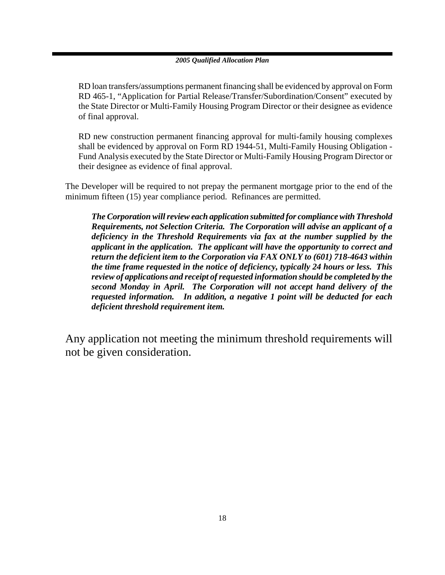RD loan transfers/assumptions permanent financing shall be evidenced by approval on Form RD 465-1, "Application for Partial Release/Transfer/Subordination/Consent" executed by the State Director or Multi-Family Housing Program Director or their designee as evidence of final approval.

RD new construction permanent financing approval for multi-family housing complexes shall be evidenced by approval on Form RD 1944-51, Multi-Family Housing Obligation - Fund Analysis executed by the State Director or Multi-Family Housing Program Director or their designee as evidence of final approval.

The Developer will be required to not prepay the permanent mortgage prior to the end of the minimum fifteen (15) year compliance period. Refinances are permitted.

*The Corporation will review each application submitted for compliance with Threshold Requirements, not Selection Criteria. The Corporation will advise an applicant of a deficiency in the Threshold Requirements via fax at the number supplied by the applicant in the application. The applicant will have the opportunity to correct and return the deficient item to the Corporation via FAX ONLY to (601) 718-4643 within the time frame requested in the notice of deficiency, typically 24 hours or less. This review of applications and receipt of requested information should be completed by the second Monday in April. The Corporation will not accept hand delivery of the requested information.**In addition, a negative 1 point will be deducted for each deficient threshold requirement item.* 

Any application not meeting the minimum threshold requirements will not be given consideration.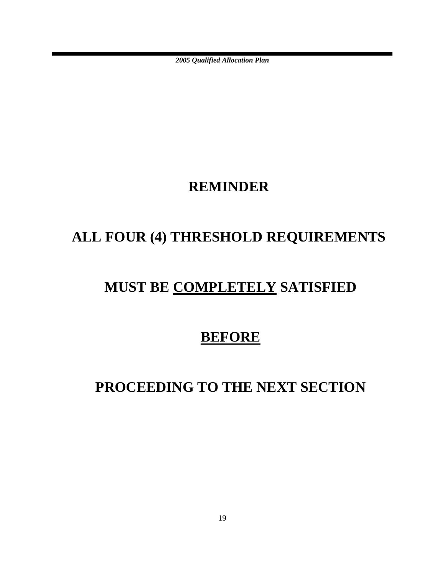### **REMINDER**

# **ALL FOUR (4) THRESHOLD REQUIREMENTS**

# **MUST BE COMPLETELY SATISFIED**

### **BEFORE**

# **PROCEEDING TO THE NEXT SECTION**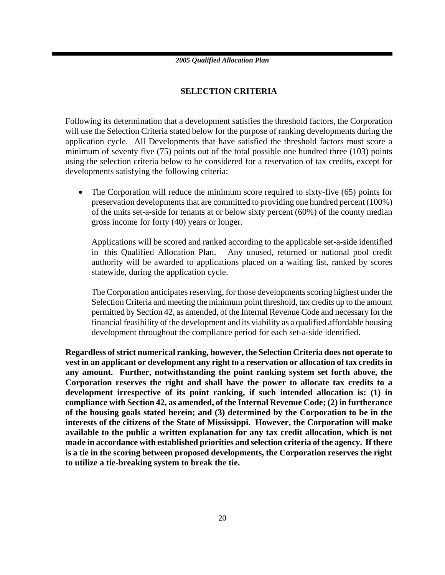### **SELECTION CRITERIA**

Following its determination that a development satisfies the threshold factors, the Corporation will use the Selection Criteria stated below for the purpose of ranking developments during the application cycle. All Developments that have satisfied the threshold factors must score a minimum of seventy five (75) points out of the total possible one hundred three (103) points using the selection criteria below to be considered for a reservation of tax credits, except for developments satisfying the following criteria:

• The Corporation will reduce the minimum score required to sixty-five (65) points for preservation developments that are committed to providing one hundred percent (100%) of the units set-a-side for tenants at or below sixty percent (60%) of the county median gross income for forty (40) years or longer.

Applications will be scored and ranked according to the applicable set-a-side identified in this Qualified Allocation Plan. Any unused, returned or national pool credit authority will be awarded to applications placed on a waiting list, ranked by scores statewide, during the application cycle.

The Corporation anticipates reserving, for those developments scoring highest under the Selection Criteria and meeting the minimum point threshold, tax credits up to the amount permitted by Section 42, as amended, of the Internal Revenue Code and necessary for the financial feasibility of the development and its viability as a qualified affordable housing development throughout the compliance period for each set-a-side identified.

**Regardless of strict numerical ranking, however, the Selection Criteria does not operate to vest in an applicant or development any right to a reservation or allocation of tax credits in any amount. Further, notwithstanding the point ranking system set forth above, the Corporation reserves the right and shall have the power to allocate tax credits to a development irrespective of its point ranking, if such intended allocation is: (1) in compliance with Section 42, as amended, of the Internal Revenue Code; (2) in furtherance of the housing goals stated herein; and (3) determined by the Corporation to be in the interests of the citizens of the State of Mississippi. However, the Corporation will make available to the public a written explanation for any tax credit allocation, which is not made in accordance with established priorities and selection criteria of the agency. If there is a tie in the scoring between proposed developments, the Corporation reserves the right to utilize a tie-breaking system to break the tie.**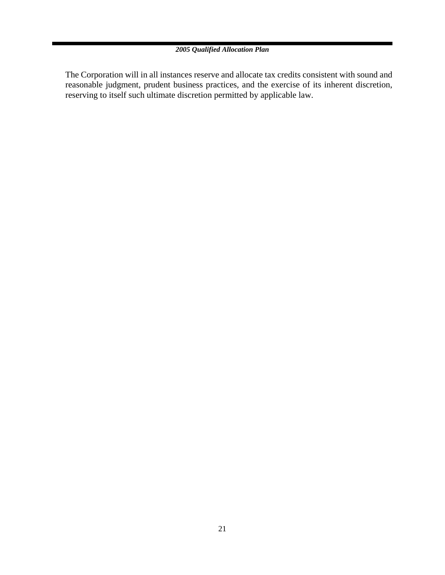The Corporation will in all instances reserve and allocate tax credits consistent with sound and reasonable judgment, prudent business practices, and the exercise of its inherent discretion, reserving to itself such ultimate discretion permitted by applicable law.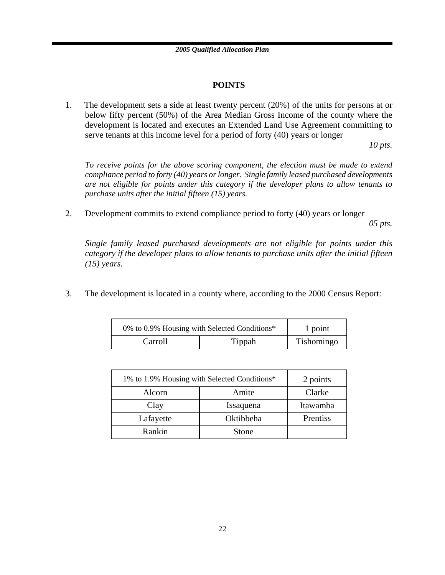### **POINTS**

1. The development sets a side at least twenty percent (20%) of the units for persons at or below fifty percent (50%) of the Area Median Gross Income of the county where the development is located and executes an Extended Land Use Agreement committing to serve tenants at this income level for a period of forty (40) years or longer

*10 pts.*

*To receive points for the above scoring component, the election must be made to extend compliance period to forty (40) years or longer. Single family leased purchased developments are not eligible for points under this category if the developer plans to allow tenants to purchase units after the initial fifteen (15) years.*

2. Development commits to extend compliance period to forty (40) years or longer

*05 pts.*

*Single family leased purchased developments are not eligible for points under this category if the developer plans to allow tenants to purchase units after the initial fifteen (15) years.*

3. The development is located in a county where, according to the 2000 Census Report:

| 0% to 0.9% Housing with Selected Conditions* |        | 1 point    |
|----------------------------------------------|--------|------------|
| Carroll                                      | Tippah | Tishomingo |

| 1% to 1.9% Housing with Selected Conditions* |           | 2 points |
|----------------------------------------------|-----------|----------|
| Alcorn                                       | Amite     | Clarke   |
| Clay                                         | Issaquena | Itawamba |
| Lafayette                                    | Oktibbeha | Prentiss |
| Rankin                                       | Stone     |          |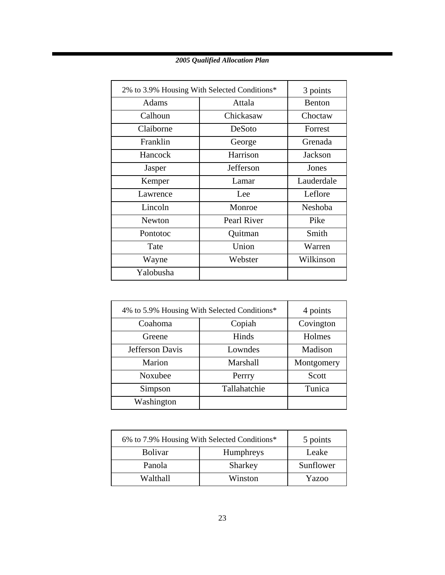| 2% to 3.9% Housing With Selected Conditions* |             | 3 points       |
|----------------------------------------------|-------------|----------------|
| Adams                                        | Attala      | Benton         |
| Calhoun                                      | Chickasaw   | Choctaw        |
| Claiborne                                    | DeSoto      | Forrest        |
| Franklin                                     | George      | Grenada        |
| Hancock                                      | Harrison    | Jackson        |
| Jasper                                       | Jefferson   | Jones          |
| Kemper                                       | Lamar       | Lauderdale     |
| Lawrence                                     | Lee.        | Leflore        |
| Lincoln                                      | Monroe      | <b>Neshoba</b> |
| <b>Newton</b>                                | Pearl River | Pike           |
| Pontotoc                                     | Quitman     | Smith          |
| Tate                                         | Union       | Warren         |
| Wayne                                        | Webster     | Wilkinson      |
| Yalobusha                                    |             |                |

| 4% to 5.9% Housing With Selected Conditions* |              | 4 points   |
|----------------------------------------------|--------------|------------|
| Coahoma                                      | Copiah       | Covington  |
| Greene                                       | Hinds        | Holmes     |
| Jefferson Davis                              | Lowndes      | Madison    |
| Marion                                       | Marshall     | Montgomery |
| Noxubee                                      | Perrry       | Scott      |
| Simpson                                      | Tallahatchie | Tunica     |
| Washington                                   |              |            |

| 6% to 7.9% Housing With Selected Conditions* |           | 5 points  |
|----------------------------------------------|-----------|-----------|
| <b>Bolivar</b>                               | Humphreys | Leake     |
| Panola                                       | Sharkey   | Sunflower |
| Walthall                                     | Winston   | Yazoo     |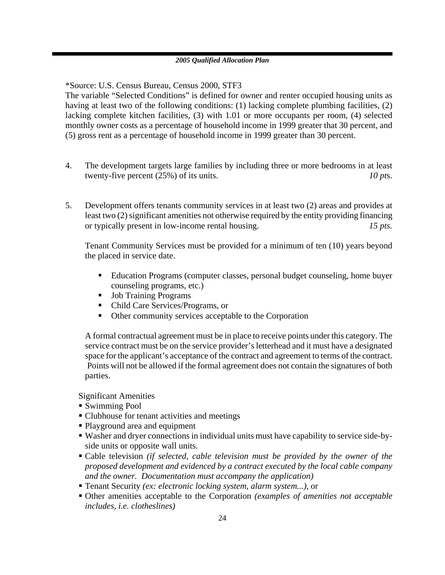\*Source: U.S. Census Bureau, Census 2000, STF3

The variable "Selected Conditions" is defined for owner and renter occupied housing units as having at least two of the following conditions: (1) lacking complete plumbing facilities, (2) lacking complete kitchen facilities, (3) with 1.01 or more occupants per room, (4) selected monthly owner costs as a percentage of household income in 1999 greater that 30 percent, and (5) gross rent as a percentage of household income in 1999 greater than 30 percent.

- 4. The development targets large families by including three or more bedrooms in at least twenty-five percent (25%) of its units. *10 pts. 10 pts.*
- 5. Development offers tenants community services in at least two (2) areas and provides at least two (2) significant amenities not otherwise required by the entity providing financing or typically present in low-income rental housing. *15 pts.*

Tenant Community Services must be provided for a minimum of ten (10) years beyond the placed in service date.

- Education Programs (computer classes, personal budget counseling, home buyer counseling programs, etc.)
- **Job Training Programs**
- Child Care Services/Programs, or
- Other community services acceptable to the Corporation

A formal contractual agreement must be in place to receive points under this category. The service contract must be on the service provider's letterhead and it must have a designated space for the applicant's acceptance of the contract and agreement to terms of the contract. Points will not be allowed if the formal agreement does not contain the signatures of both parties.

Significant Amenities

- Swimming Pool
- Clubhouse for tenant activities and meetings
- Playground area and equipment
- Washer and dryer connections in individual units must have capability to service side-byside units or opposite wall units.
- Cable television *(if selected, cable television must be provided by the owner of the proposed development and evidenced by a contract executed by the local cable company and the owner. Documentation must accompany the application)*
- Tenant Security *(ex: electronic locking system, alarm system...),* or
- Other amenities acceptable to the Corporation *(examples of amenities not acceptable includes, i.e. clotheslines)*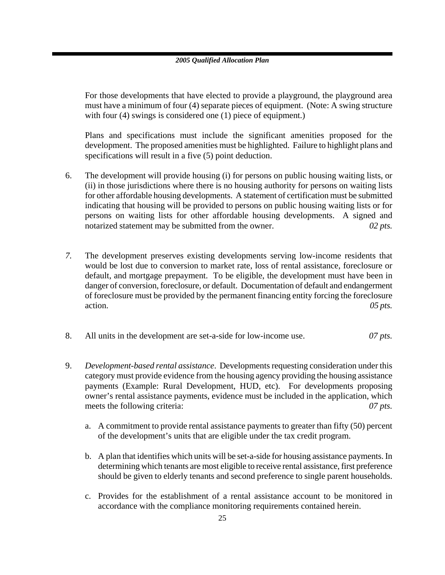For those developments that have elected to provide a playground, the playground area must have a minimum of four (4) separate pieces of equipment. (Note: A swing structure with four (4) swings is considered one (1) piece of equipment.)

Plans and specifications must include the significant amenities proposed for the development. The proposed amenities must be highlighted. Failure to highlight plans and specifications will result in a five (5) point deduction.

- 6. The development will provide housing (i) for persons on public housing waiting lists, or (ii) in those jurisdictions where there is no housing authority for persons on waiting lists for other affordable housing developments.A statement of certification must be submitted indicating that housing will be provided to persons on public housing waiting lists or for persons on waiting lists for other affordable housing developments. A signed and notarized statement may be submitted from the owner. 02 *pts.* 02 *pts.*
- *7.* The development preserves existing developments serving low-income residents that would be lost due to conversion to market rate, loss of rental assistance, foreclosure or default, and mortgage prepayment. To be eligible, the development must have been in danger of conversion, foreclosure, or default. Documentation of default and endangerment of foreclosure must be provided by the permanent financing entity forcing the foreclosure action. *05 pts.*
- 8. All units in the development are set-a-side for low-income use. *07 pts.*
- 9. *Development-based rental assistance*. Developments requesting consideration under this category must provide evidence from the housing agency providing the housing assistance payments (Example: Rural Development, HUD, etc). For developments proposing owner's rental assistance payments, evidence must be included in the application, which meets the following criteria:  $\frac{\partial^2 f}{\partial x \partial y} = 0$ 
	- a. A commitment to provide rental assistance payments to greater than fifty (50) percent of the development's units that are eligible under the tax credit program.
	- b. A plan that identifies which units will be set-a-side for housing assistance payments. In determining which tenants are most eligible to receive rental assistance, first preference should be given to elderly tenants and second preference to single parent households.
	- c. Provides for the establishment of a rental assistance account to be monitored in accordance with the compliance monitoring requirements contained herein.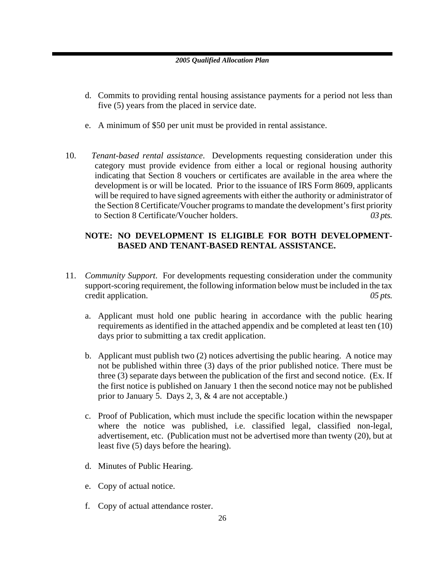- d. Commits to providing rental housing assistance payments for a period not less than five (5) years from the placed in service date.
- e. A minimum of \$50 per unit must be provided in rental assistance.
- 10. *Tenant-based rental assistance*. Developments requesting consideration under this category must provide evidence from either a local or regional housing authority indicating that Section 8 vouchers or certificates are available in the area where the development is or will be located. Prior to the issuance of IRS Form 8609, applicants will be required to have signed agreements with either the authority or administrator of the Section 8 Certificate/Voucher programs to mandate the development's first priority to Section 8 Certificate/Voucher holders. *03 pts.*

### **NOTE: NO DEVELOPMENT IS ELIGIBLE FOR BOTH DEVELOPMENT-BASED AND TENANT-BASED RENTAL ASSISTANCE.**

- 11. *Community Support*. For developments requesting consideration under the community support-scoring requirement, the following information below must be included in the tax credit application. *05 pts.* 
	- a. Applicant must hold one public hearing in accordance with the public hearing requirements as identified in the attached appendix and be completed at least ten (10) days prior to submitting a tax credit application.
	- b. Applicant must publish two (2) notices advertising the public hearing. A notice may not be published within three (3) days of the prior published notice. There must be three (3) separate days between the publication of the first and second notice. (Ex. If the first notice is published on January 1 then the second notice may not be published prior to January 5. Days 2, 3, & 4 are not acceptable.)
	- c. Proof of Publication, which must include the specific location within the newspaper where the notice was published, i.e. classified legal, classified non-legal, advertisement, etc. (Publication must not be advertised more than twenty (20), but at least five (5) days before the hearing).
	- d. Minutes of Public Hearing.
	- e. Copy of actual notice.
	- f. Copy of actual attendance roster.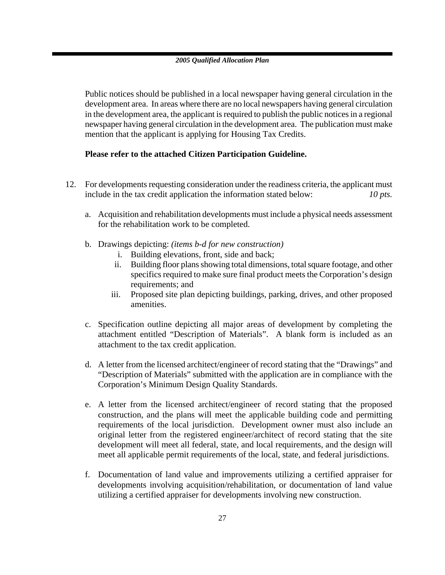Public notices should be published in a local newspaper having general circulation in the development area. In areas where there are no local newspapers having general circulation in the development area, the applicant is required to publish the public notices in a regional newspaper having general circulation in the development area. The publication must make mention that the applicant is applying for Housing Tax Credits.

### **Please refer to the attached Citizen Participation Guideline.**

- 12. For developments requesting consideration under the readiness criteria, the applicant must include in the tax credit application the information stated below: *10 pts.*
	- a. Acquisition and rehabilitation developments must include a physical needs assessment for the rehabilitation work to be completed.
	- b. Drawings depicting: *(items b-d for new construction)*
		- i. Building elevations, front, side and back;
		- ii. Building floor plans showing total dimensions, total square footage, and other specifics required to make sure final product meets the Corporation's design requirements; and
		- iii. Proposed site plan depicting buildings, parking, drives, and other proposed amenities.
	- c. Specification outline depicting all major areas of development by completing the attachment entitled "Description of Materials". A blank form is included as an attachment to the tax credit application.
	- d. A letter from the licensed architect/engineer of record stating that the "Drawings" and "Description of Materials" submitted with the application are in compliance with the Corporation's Minimum Design Quality Standards.
	- e. A letter from the licensed architect/engineer of record stating that the proposed construction, and the plans will meet the applicable building code and permitting requirements of the local jurisdiction. Development owner must also include an original letter from the registered engineer/architect of record stating that the site development will meet all federal, state, and local requirements, and the design will meet all applicable permit requirements of the local, state, and federal jurisdictions.
	- f. Documentation of land value and improvements utilizing a certified appraiser for developments involving acquisition/rehabilitation, or documentation of land value utilizing a certified appraiser for developments involving new construction.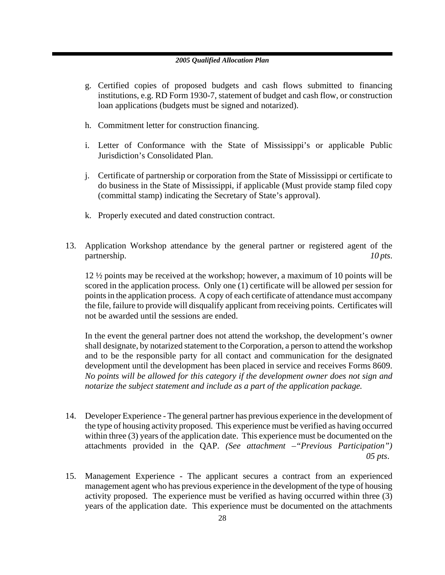- g. Certified copies of proposed budgets and cash flows submitted to financing institutions, e.g. RD Form 1930-7, statement of budget and cash flow, or construction loan applications (budgets must be signed and notarized).
- h. Commitment letter for construction financing.
- i. Letter of Conformance with the State of Mississippi's or applicable Public Jurisdiction's Consolidated Plan.
- j. Certificate of partnership or corporation from the State of Mississippi or certificate to do business in the State of Mississippi, if applicable (Must provide stamp filed copy (committal stamp) indicating the Secretary of State's approval).
- k. Properly executed and dated construction contract.
- 13. Application Workshop attendance by the general partner or registered agent of the partnership. *10 pts. 10 pts.*

12 ½ points may be received at the workshop; however, a maximum of 10 points will be scored in the application process. Only one (1) certificate will be allowed per session for points in the application process. A copy of each certificate of attendance must accompany the file, failure to provide will disqualify applicant from receiving points. Certificates will not be awarded until the sessions are ended.

In the event the general partner does not attend the workshop, the development's owner shall designate, by notarized statement to the Corporation, a person to attend the workshop and to be the responsible party for all contact and communication for the designated development until the development has been placed in service and receives Forms 8609. *No points will be allowed for this category if the development owner does not sign and notarize the subject statement and include as a part of the application package.* 

- 14. Developer Experience The general partner has previous experience in the development of the type of housing activity proposed. This experience must be verified as having occurred within three (3) years of the application date. This experience must be documented on the attachments provided in the QAP. *(See attachment –"Previous Participation") 05 pts*.
- 15. Management Experience The applicant secures a contract from an experienced management agent who has previous experience in the development of the type of housing activity proposed. The experience must be verified as having occurred within three (3) years of the application date. This experience must be documented on the attachments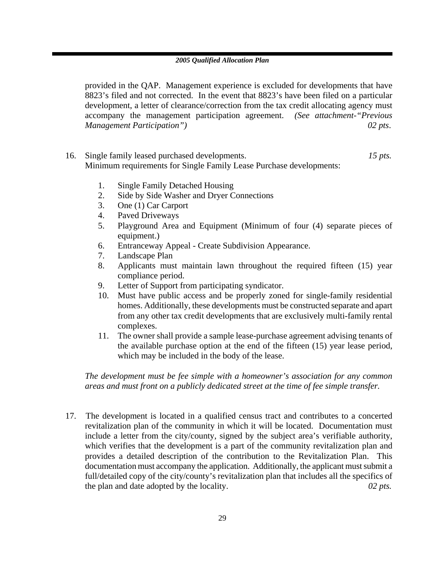provided in the QAP. Management experience is excluded for developments that have 8823's filed and not corrected. In the event that 8823's have been filed on a particular development, a letter of clearance/correction from the tax credit allocating agency must accompany the management participation agreement. *(See attachment-"Previous Management Participation") 02 pts*.

- 16. Single family leased purchased developments. *15 pts.*  Minimum requirements for Single Family Lease Purchase developments:
	- 1. Single Family Detached Housing
	- 2. Side by Side Washer and Dryer Connections
	- 3. One (1) Car Carport
	- 4. Paved Driveways
	- 5. Playground Area and Equipment (Minimum of four (4) separate pieces of equipment.)
	- 6. Entranceway Appeal Create Subdivision Appearance.
	- 7. Landscape Plan
	- 8. Applicants must maintain lawn throughout the required fifteen (15) year compliance period.
	- 9. Letter of Support from participating syndicator.
	- 10. Must have public access and be properly zoned for single-family residential homes. Additionally, these developments must be constructed separate and apart from any other tax credit developments that are exclusively multi-family rental complexes.
	- 11. The owner shall provide a sample lease-purchase agreement advising tenants of the available purchase option at the end of the fifteen (15) year lease period, which may be included in the body of the lease.

*The development must be fee simple with a homeowner's association for any common areas and must front on a publicly dedicated street at the time of fee simple transfer.* 

17. The development is located in a qualified census tract and contributes to a concerted revitalization plan of the community in which it will be located. Documentation must include a letter from the city/county, signed by the subject area's verifiable authority, which verifies that the development is a part of the community revitalization plan and provides a detailed description of the contribution to the Revitalization Plan. This documentation must accompany the application. Additionally, the applicant must submit a full/detailed copy of the city/county's revitalization plan that includes all the specifics of the plan and date adopted by the locality. *02 pts.*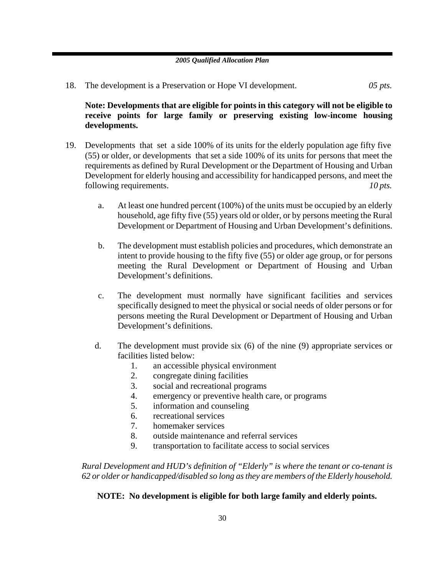18. The development is a Preservation or Hope VI development. *05 pts.*

**Note: Developments that are eligible for points in this category will not be eligible to receive points for large family or preserving existing low-income housing developments.** 

- 19. Developments that set a side 100% of its units for the elderly population age fifty five (55) or older, or developments that set a side 100% of its units for persons that meet the requirements as defined by Rural Development or the Department of Housing and Urban Development for elderly housing and accessibility for handicapped persons, and meet the following requirements. *10 pts. 10 pts.* 
	- a. At least one hundred percent (100%) of the units must be occupied by an elderly household, age fifty five (55) years old or older, or by persons meeting the Rural Development or Department of Housing and Urban Development's definitions.
	- b. The development must establish policies and procedures, which demonstrate an intent to provide housing to the fifty five (55) or older age group, or for persons meeting the Rural Development or Department of Housing and Urban Development's definitions.
	- c. The development must normally have significant facilities and services specifically designed to meet the physical or social needs of older persons or for persons meeting the Rural Development or Department of Housing and Urban Development's definitions.
	- d. The development must provide six (6) of the nine (9) appropriate services or facilities listed below:
		- 1. an accessible physical environment
		- 2. congregate dining facilities
		- 3. social and recreational programs
		- 4. emergency or preventive health care, or programs
		- 5. information and counseling
		- 6. recreational services
		- 7. homemaker services
		- 8. outside maintenance and referral services
		- 9. transportation to facilitate access to social services

*Rural Development and HUD's definition of "Elderly" is where the tenant or co-tenant is 62 or older or handicapped/disabled so long as they are members of the Elderly household.* 

### **NOTE: No development is eligible for both large family and elderly points.**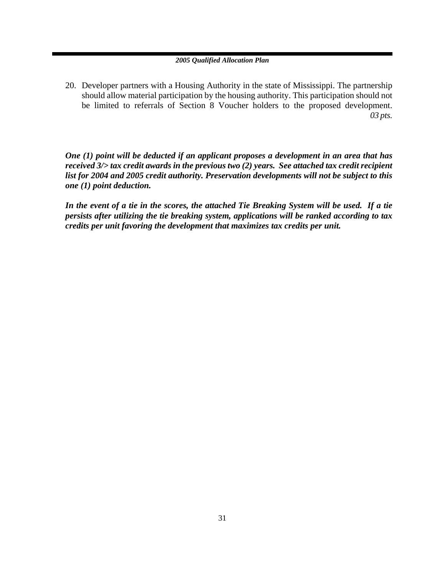20. Developer partners with a Housing Authority in the state of Mississippi. The partnership should allow material participation by the housing authority. This participation should not be limited to referrals of Section 8 Voucher holders to the proposed development. *03 pts.* 

*One (1) point will be deducted if an applicant proposes a development in an area that has received 3/> tax credit awards in the previous two (2) years. See attached tax credit recipient list for 2004 and 2005 credit authority. Preservation developments will not be subject to this one (1) point deduction.* 

*In the event of a tie in the scores, the attached Tie Breaking System will be used. If a tie persists after utilizing the tie breaking system, applications will be ranked according to tax credits per unit favoring the development that maximizes tax credits per unit.*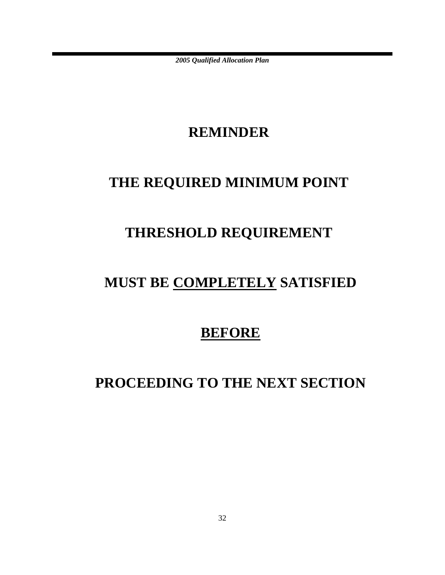## **REMINDER**

# **THE REQUIRED MINIMUM POINT**

# **THRESHOLD REQUIREMENT**

# **MUST BE COMPLETELY SATISFIED**

## **BEFORE**

# **PROCEEDING TO THE NEXT SECTION**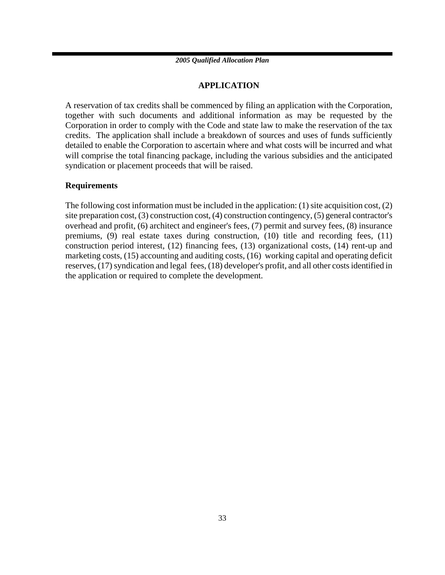### **APPLICATION**

A reservation of tax credits shall be commenced by filing an application with the Corporation, together with such documents and additional information as may be requested by the Corporation in order to comply with the Code and state law to make the reservation of the tax credits. The application shall include a breakdown of sources and uses of funds sufficiently detailed to enable the Corporation to ascertain where and what costs will be incurred and what will comprise the total financing package, including the various subsidies and the anticipated syndication or placement proceeds that will be raised.

### **Requirements**

The following cost information must be included in the application: (1) site acquisition cost, (2) site preparation cost, (3) construction cost, (4) construction contingency, (5) general contractor's overhead and profit, (6) architect and engineer's fees, (7) permit and survey fees, (8) insurance premiums, (9) real estate taxes during construction, (10) title and recording fees, (11) construction period interest, (12) financing fees, (13) organizational costs, (14) rent-up and marketing costs, (15) accounting and auditing costs, (16) working capital and operating deficit reserves, (17) syndication and legal fees, (18) developer's profit, and all other costs identified in the application or required to complete the development.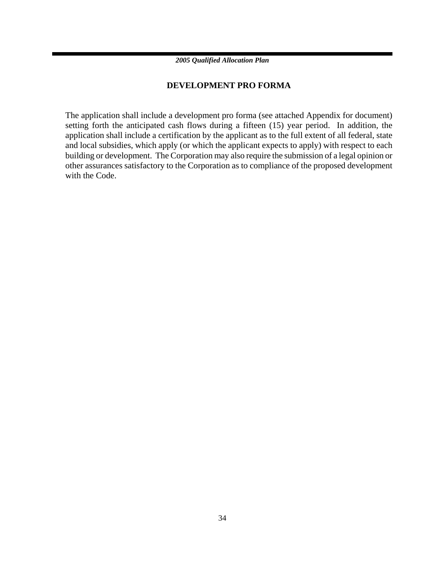### **DEVELOPMENT PRO FORMA**

The application shall include a development pro forma (see attached Appendix for document) setting forth the anticipated cash flows during a fifteen (15) year period. In addition, the application shall include a certification by the applicant as to the full extent of all federal, state and local subsidies, which apply (or which the applicant expects to apply) with respect to each building or development. The Corporation may also require the submission of a legal opinion or other assurances satisfactory to the Corporation as to compliance of the proposed development with the Code.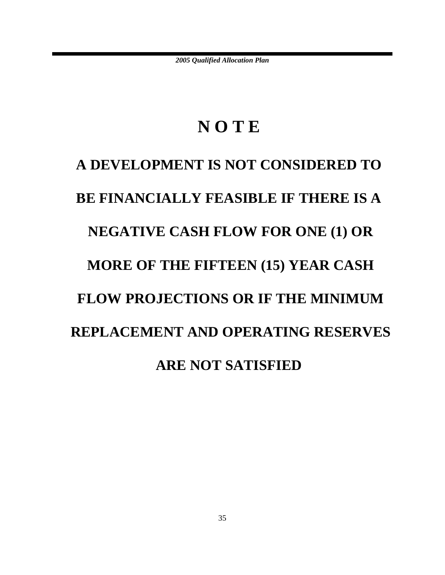# **N O T E**

# **A DEVELOPMENT IS NOT CONSIDERED TO BE FINANCIALLY FEASIBLE IF THERE IS A NEGATIVE CASH FLOW FOR ONE (1) OR MORE OF THE FIFTEEN (15) YEAR CASH FLOW PROJECTIONS OR IF THE MINIMUM REPLACEMENT AND OPERATING RESERVES ARE NOT SATISFIED**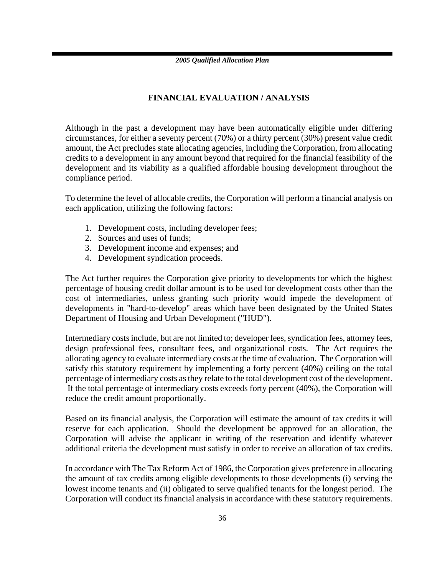### **FINANCIAL EVALUATION / ANALYSIS**

Although in the past a development may have been automatically eligible under differing circumstances, for either a seventy percent (70%) or a thirty percent (30%) present value credit amount, the Act precludes state allocating agencies, including the Corporation, from allocating credits to a development in any amount beyond that required for the financial feasibility of the development and its viability as a qualified affordable housing development throughout the compliance period.

To determine the level of allocable credits, the Corporation will perform a financial analysis on each application, utilizing the following factors:

- 1. Development costs, including developer fees;
- 2. Sources and uses of funds;
- 3. Development income and expenses; and
- 4. Development syndication proceeds.

The Act further requires the Corporation give priority to developments for which the highest percentage of housing credit dollar amount is to be used for development costs other than the cost of intermediaries, unless granting such priority would impede the development of developments in "hard-to-develop" areas which have been designated by the United States Department of Housing and Urban Development ("HUD").

Intermediary costs include, but are not limited to; developer fees, syndication fees, attorney fees, design professional fees, consultant fees, and organizational costs. The Act requires the allocating agency to evaluate intermediary costs at the time of evaluation. The Corporation will satisfy this statutory requirement by implementing a forty percent (40%) ceiling on the total percentage of intermediary costs as they relate to the total development cost of the development. If the total percentage of intermediary costs exceeds forty percent (40%), the Corporation will reduce the credit amount proportionally.

Based on its financial analysis, the Corporation will estimate the amount of tax credits it will reserve for each application. Should the development be approved for an allocation, the Corporation will advise the applicant in writing of the reservation and identify whatever additional criteria the development must satisfy in order to receive an allocation of tax credits.

In accordance with The Tax Reform Act of 1986, the Corporation gives preference in allocating the amount of tax credits among eligible developments to those developments (i) serving the lowest income tenants and (ii) obligated to serve qualified tenants for the longest period. The Corporation will conduct its financial analysis in accordance with these statutory requirements.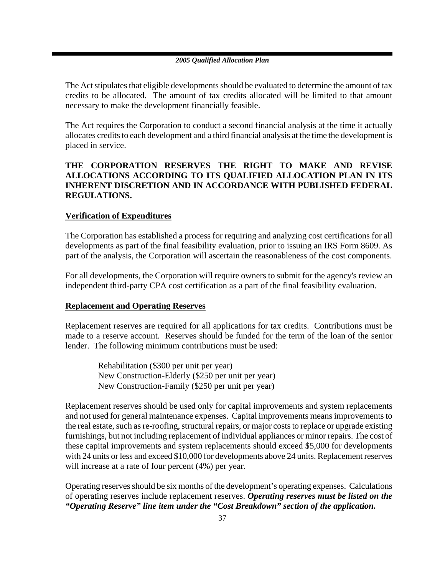The Act stipulates that eligible developments should be evaluated to determine the amount of tax credits to be allocated. The amount of tax credits allocated will be limited to that amount necessary to make the development financially feasible.

The Act requires the Corporation to conduct a second financial analysis at the time it actually allocates credits to each development and a third financial analysis at the time the development is placed in service.

### **THE CORPORATION RESERVES THE RIGHT TO MAKE AND REVISE ALLOCATIONS ACCORDING TO ITS QUALIFIED ALLOCATION PLAN IN ITS INHERENT DISCRETION AND IN ACCORDANCE WITH PUBLISHED FEDERAL REGULATIONS.**

### **Verification of Expenditures**

The Corporation has established a process for requiring and analyzing cost certifications for all developments as part of the final feasibility evaluation, prior to issuing an IRS Form 8609. As part of the analysis, the Corporation will ascertain the reasonableness of the cost components.

For all developments, the Corporation will require owners to submit for the agency's review an independent third-party CPA cost certification as a part of the final feasibility evaluation.

### **Replacement and Operating Reserves**

Replacement reserves are required for all applications for tax credits. Contributions must be made to a reserve account. Reserves should be funded for the term of the loan of the senior lender. The following minimum contributions must be used:

Rehabilitation (\$300 per unit per year) New Construction-Elderly (\$250 per unit per year) New Construction-Family (\$250 per unit per year)

Replacement reserves should be used only for capital improvements and system replacements and not used for general maintenance expenses. Capital improvements means improvements to the real estate, such as re-roofing, structural repairs, or major costs to replace or upgrade existing furnishings, but not including replacement of individual appliances or minor repairs. The cost of these capital improvements and system replacements should exceed \$5,000 for developments with 24 units or less and exceed \$10,000 for developments above 24 units. Replacement reserves will increase at a rate of four percent (4%) per year.

Operating reserves should be six months of the development's operating expenses. Calculations of operating reserves include replacement reserves. *Operating reserves must be listed on the "Operating Reserve" line item under the "Cost Breakdown" section of the application***.**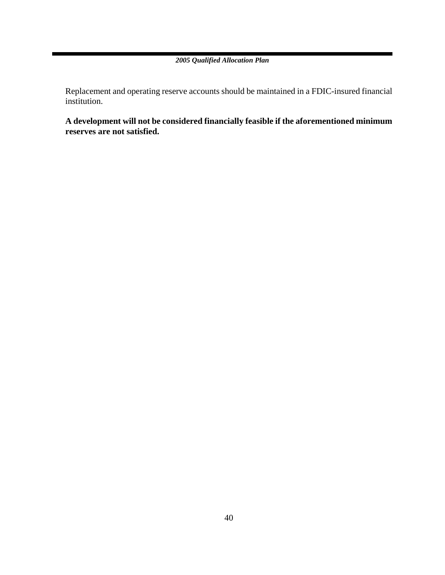Replacement and operating reserve accounts should be maintained in a FDIC-insured financial institution.

**A development will not be considered financially feasible if the aforementioned minimum reserves are not satisfied.**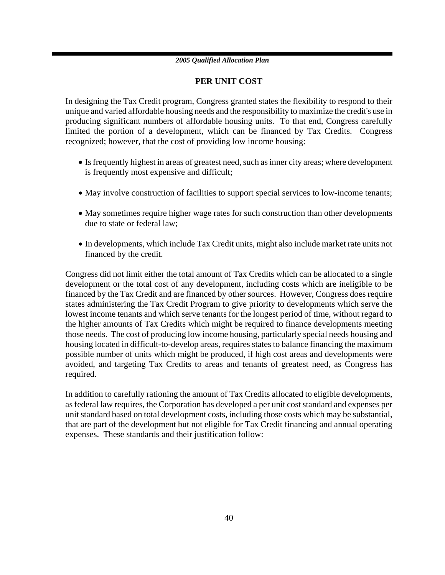### **PER UNIT COST**

In designing the Tax Credit program, Congress granted states the flexibility to respond to their unique and varied affordable housing needs and the responsibility to maximize the credit's use in producing significant numbers of affordable housing units. To that end, Congress carefully limited the portion of a development, which can be financed by Tax Credits. Congress recognized; however, that the cost of providing low income housing:

- Is frequently highest in areas of greatest need, such as inner city areas; where development is frequently most expensive and difficult;
- May involve construction of facilities to support special services to low-income tenants;
- May sometimes require higher wage rates for such construction than other developments due to state or federal law;
- In developments, which include Tax Credit units, might also include market rate units not financed by the credit.

Congress did not limit either the total amount of Tax Credits which can be allocated to a single development or the total cost of any development, including costs which are ineligible to be financed by the Tax Credit and are financed by other sources. However, Congress does require states administering the Tax Credit Program to give priority to developments which serve the lowest income tenants and which serve tenants for the longest period of time, without regard to the higher amounts of Tax Credits which might be required to finance developments meeting those needs. The cost of producing low income housing, particularly special needs housing and housing located in difficult-to-develop areas, requires states to balance financing the maximum possible number of units which might be produced, if high cost areas and developments were avoided, and targeting Tax Credits to areas and tenants of greatest need, as Congress has required.

In addition to carefully rationing the amount of Tax Credits allocated to eligible developments, as federal law requires, the Corporation has developed a per unit cost standard and expenses per unit standard based on total development costs, including those costs which may be substantial, that are part of the development but not eligible for Tax Credit financing and annual operating expenses. These standards and their justification follow: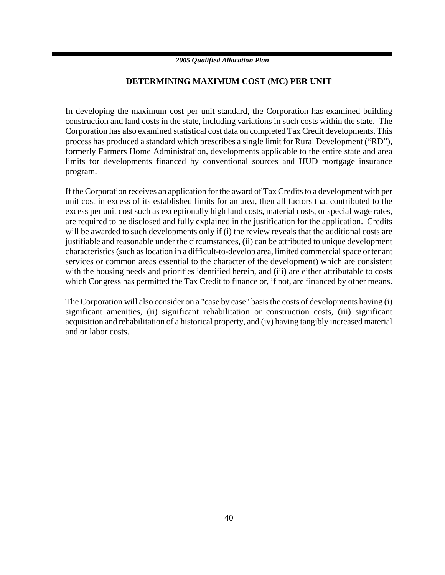### **DETERMINING MAXIMUM COST (MC) PER UNIT**

In developing the maximum cost per unit standard, the Corporation has examined building construction and land costs in the state, including variations in such costs within the state. The Corporation has also examined statistical cost data on completed Tax Credit developments. This process has produced a standard which prescribes a single limit for Rural Development ("RD"), formerly Farmers Home Administration, developments applicable to the entire state and area limits for developments financed by conventional sources and HUD mortgage insurance program.

If the Corporation receives an application for the award of Tax Credits to a development with per unit cost in excess of its established limits for an area, then all factors that contributed to the excess per unit cost such as exceptionally high land costs, material costs, or special wage rates, are required to be disclosed and fully explained in the justification for the application. Credits will be awarded to such developments only if (i) the review reveals that the additional costs are justifiable and reasonable under the circumstances, (ii) can be attributed to unique development characteristics (such as location in a difficult-to-develop area, limited commercial space or tenant services or common areas essential to the character of the development) which are consistent with the housing needs and priorities identified herein, and (iii) are either attributable to costs which Congress has permitted the Tax Credit to finance or, if not, are financed by other means.

The Corporation will also consider on a "case by case" basis the costs of developments having (i) significant amenities, (ii) significant rehabilitation or construction costs, (iii) significant acquisition and rehabilitation of a historical property, and (iv) having tangibly increased material and or labor costs.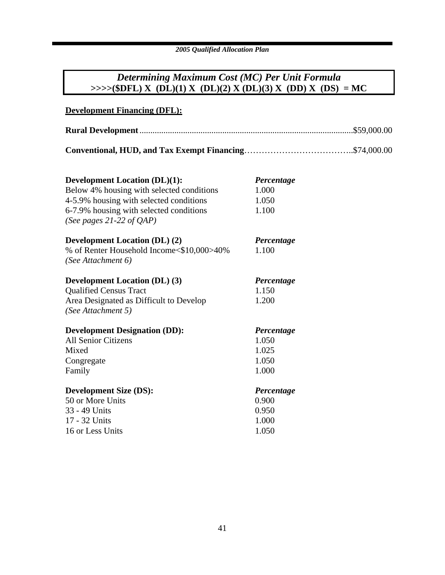### *Determining Maximum Cost (MC) Per Unit Formula*  $\Rightarrow \Rightarrow \Rightarrow (\$DFL) X (DL)(1) X (DL)(2) X (DL)(3) X (DD) X (DS) = MC$

| <b>Development Financing (DFL):</b>                                                                                                    |                                                |
|----------------------------------------------------------------------------------------------------------------------------------------|------------------------------------------------|
|                                                                                                                                        |                                                |
|                                                                                                                                        |                                                |
| <b>Development Location (DL)(1):</b><br>Below 4% housing with selected conditions<br>4-5.9% housing with selected conditions           | Percentage<br>1.000<br>1.050                   |
| 6-7.9% housing with selected conditions<br>(See pages 21-22 of $QAP$ )                                                                 | 1.100                                          |
| <b>Development Location (DL) (2)</b><br>% of Renter Household Income<\$10,000>40%<br>(See Attachment 6)                                | Percentage<br>1.100                            |
| <b>Development Location (DL) (3)</b><br><b>Qualified Census Tract</b><br>Area Designated as Difficult to Develop<br>(See Attachment 5) | Percentage<br>1.150<br>1.200                   |
| <b>Development Designation (DD):</b><br><b>All Senior Citizens</b><br>Mixed<br>Congregate<br>Family                                    | Percentage<br>1.050<br>1.025<br>1.050<br>1.000 |
| <b>Development Size (DS):</b><br>50 or More Units<br>33 - 49 Units<br>17 - 32 Units<br>16 or Less Units                                | Percentage<br>0.900<br>0.950<br>1.000<br>1.050 |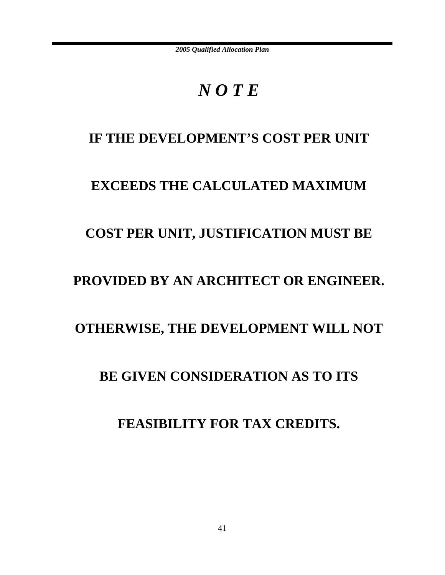# *N O T E*

### IF THE DEVELOPMENT'S COST PER UNIT

### **EXCEEDS THE CALCULATED MAXIMUM**

### **COST PER UNIT, JUSTIFICATION MUST BE**

### **PROVIDED BY AN ARCHITECT OR ENGINEER.**

### **OTHERWISE, THE DEVELOPMENT WILL NOT**

### **BE GIVEN CONSIDERATION AS TO ITS**

### **FEASIBILITY FOR TAX CREDITS.**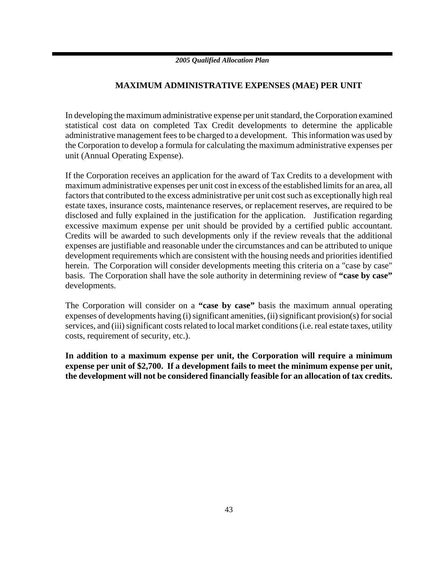### **MAXIMUM ADMINISTRATIVE EXPENSES (MAE) PER UNIT**

In developing the maximum administrative expense per unit standard, the Corporation examined statistical cost data on completed Tax Credit developments to determine the applicable administrative management fees to be charged to a development. This information was used by the Corporation to develop a formula for calculating the maximum administrative expenses per unit (Annual Operating Expense).

If the Corporation receives an application for the award of Tax Credits to a development with maximum administrative expenses per unit cost in excess of the established limits for an area, all factors that contributed to the excess administrative per unit cost such as exceptionally high real estate taxes, insurance costs, maintenance reserves, or replacement reserves, are required to be disclosed and fully explained in the justification for the application. Justification regarding excessive maximum expense per unit should be provided by a certified public accountant. Credits will be awarded to such developments only if the review reveals that the additional expenses are justifiable and reasonable under the circumstances and can be attributed to unique development requirements which are consistent with the housing needs and priorities identified herein. The Corporation will consider developments meeting this criteria on a "case by case" basis. The Corporation shall have the sole authority in determining review of **"case by case"** developments.

The Corporation will consider on a **"case by case"** basis the maximum annual operating expenses of developments having (i) significant amenities, (ii) significant provision(s) for social services, and (iii) significant costs related to local market conditions (i.e. real estate taxes, utility costs, requirement of security, etc.).

**In addition to a maximum expense per unit, the Corporation will require a minimum expense per unit of \$2,700. If a development fails to meet the minimum expense per unit, the development will not be considered financially feasible for an allocation of tax credits.**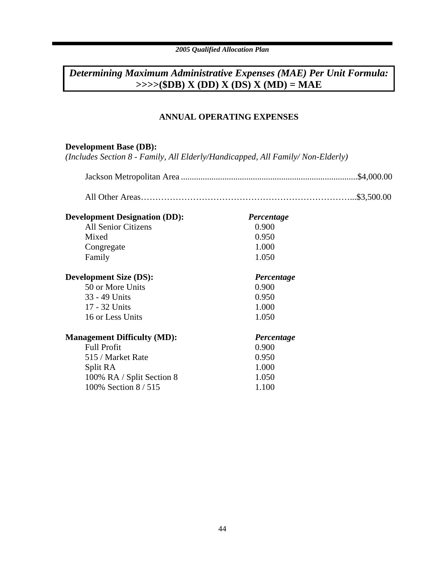### *Determining Maximum Administrative Expenses (MAE) Per Unit Formula:* **>>>>(\$DB) X (DD) X (DS) X (MD) = MAE**

### **ANNUAL OPERATING EXPENSES**

### **Development Base (DB):**

*(Includes Section 8 - Family, All Elderly/Handicapped, All Family/ Non-Elderly)*

| <b>Development Designation (DD):</b> | Percentage |  |
|--------------------------------------|------------|--|
| <b>All Senior Citizens</b>           | 0.900      |  |
| Mixed                                | 0.950      |  |
| Congregate                           | 1.000      |  |
| Family                               | 1.050      |  |
| <b>Development Size (DS):</b>        | Percentage |  |
| 50 or More Units                     | 0.900      |  |
| 33 - 49 Units                        | 0.950      |  |
| 17 - 32 Units                        | 1.000      |  |
| 16 or Less Units                     | 1.050      |  |
| <b>Management Difficulty (MD):</b>   | Percentage |  |
| <b>Full Profit</b>                   | 0.900      |  |
| 515 / Market Rate                    | 0.950      |  |
| Split RA                             | 1.000      |  |
| 100% RA / Split Section 8            | 1.050      |  |
| 100% Section 8/515                   | 1.100      |  |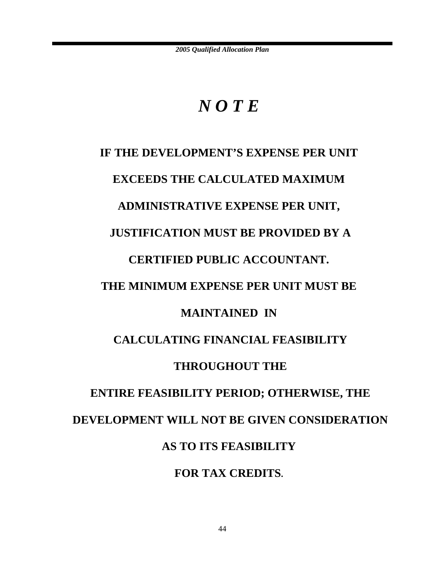# *N O T E*

# **IF THE DEVELOPMENT'S EXPENSE PER UNIT EXCEEDS THE CALCULATED MAXIMUM ADMINISTRATIVE EXPENSE PER UNIT, JUSTIFICATION MUST BE PROVIDED BY A CERTIFIED PUBLIC ACCOUNTANT. THE MINIMUM EXPENSE PER UNIT MUST BE MAINTAINED IN CALCULATING FINANCIAL FEASIBILITY THROUGHOUT THE ENTIRE FEASIBILITY PERIOD; OTHERWISE, THE DEVELOPMENT WILL NOT BE GIVEN CONSIDERATION AS TO ITS FEASIBILITY FOR TAX CREDITS.**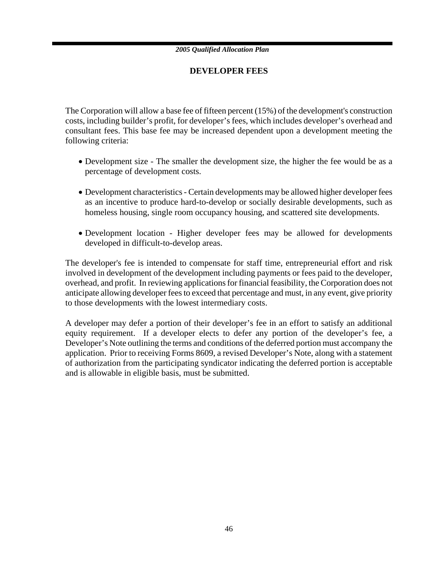### **DEVELOPER FEES**

The Corporation will allow a base fee of fifteen percent (15%) of the development's construction costs, including builder's profit, for developer's fees, which includes developer's overhead and consultant fees. This base fee may be increased dependent upon a development meeting the following criteria:

- Development size The smaller the development size, the higher the fee would be as a percentage of development costs.
- Development characteristics Certain developments may be allowed higher developer fees as an incentive to produce hard-to-develop or socially desirable developments, such as homeless housing, single room occupancy housing, and scattered site developments.
- Development location Higher developer fees may be allowed for developments developed in difficult-to-develop areas.

The developer's fee is intended to compensate for staff time, entrepreneurial effort and risk involved in development of the development including payments or fees paid to the developer, overhead, and profit. In reviewing applications for financial feasibility, the Corporation does not anticipate allowing developer fees to exceed that percentage and must, in any event, give priority to those developments with the lowest intermediary costs.

A developer may defer a portion of their developer's fee in an effort to satisfy an additional equity requirement. If a developer elects to defer any portion of the developer's fee, a Developer's Note outlining the terms and conditions of the deferred portion must accompany the application. Prior to receiving Forms 8609, a revised Developer's Note, along with a statement of authorization from the participating syndicator indicating the deferred portion is acceptable and is allowable in eligible basis, must be submitted.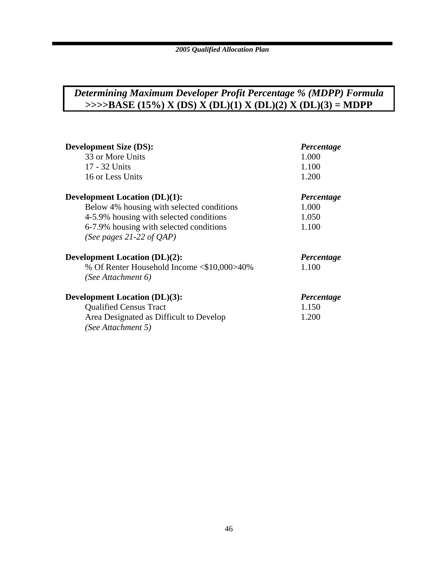### *Determining Maximum Developer Profit Percentage % (MDPP) Formula* **>>>>BASE (15%) X (DS) X (DL)(1) X (DL)(2) X (DL)(3) = MDPP**

| <b>Development Size (DS):</b>              | Percentage |
|--------------------------------------------|------------|
| 33 or More Units                           | 1.000      |
| 17 - 32 Units                              | 1.100      |
| 16 or Less Units                           | 1.200      |
| <b>Development Location (DL)(1):</b>       | Percentage |
| Below 4% housing with selected conditions  | 1.000      |
| 4-5.9% housing with selected conditions    | 1.050      |
| 6-7.9% housing with selected conditions    | 1.100      |
| (See pages 21-22 of $OAP$ )                |            |
| <b>Development Location (DL)(2):</b>       | Percentage |
| % Of Renter Household Income <\$10,000>40% | 1.100      |
| (See Attachment 6)                         |            |
| <b>Development Location (DL)(3):</b>       | Percentage |
| <b>Qualified Census Tract</b>              | 1.150      |
| Area Designated as Difficult to Develop    | 1.200      |
| (See Attachment 5)                         |            |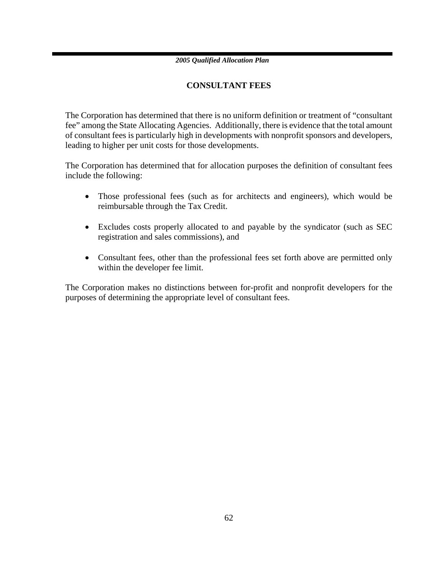### **CONSULTANT FEES**

The Corporation has determined that there is no uniform definition or treatment of "consultant fee" among the State Allocating Agencies. Additionally, there is evidence that the total amount of consultant fees is particularly high in developments with nonprofit sponsors and developers, leading to higher per unit costs for those developments.

The Corporation has determined that for allocation purposes the definition of consultant fees include the following:

- Those professional fees (such as for architects and engineers), which would be reimbursable through the Tax Credit.
- Excludes costs properly allocated to and payable by the syndicator (such as SEC registration and sales commissions), and
- Consultant fees, other than the professional fees set forth above are permitted only within the developer fee limit.

The Corporation makes no distinctions between for-profit and nonprofit developers for the purposes of determining the appropriate level of consultant fees.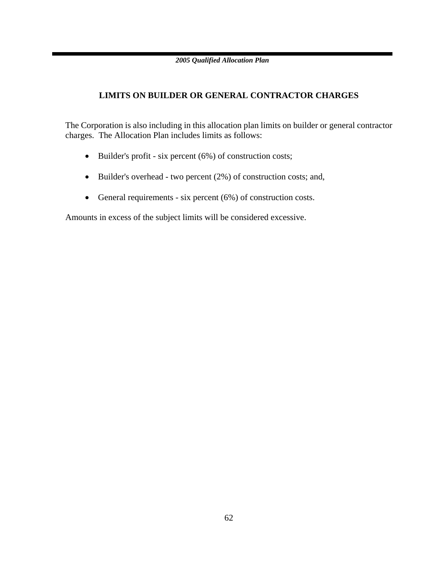### **LIMITS ON BUILDER OR GENERAL CONTRACTOR CHARGES**

The Corporation is also including in this allocation plan limits on builder or general contractor charges. The Allocation Plan includes limits as follows:

- Builder's profit six percent (6%) of construction costs;
- Builder's overhead two percent (2%) of construction costs; and,
- General requirements six percent (6%) of construction costs.

Amounts in excess of the subject limits will be considered excessive.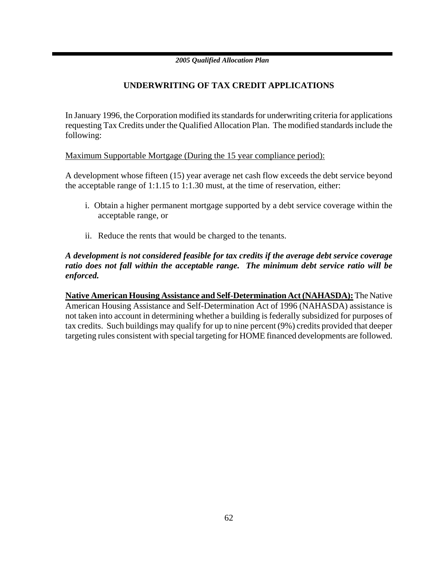### **UNDERWRITING OF TAX CREDIT APPLICATIONS**

In January 1996, the Corporation modified its standards for underwriting criteria for applications requesting Tax Credits under the Qualified Allocation Plan. The modified standards include the following:

Maximum Supportable Mortgage (During the 15 year compliance period):

A development whose fifteen (15) year average net cash flow exceeds the debt service beyond the acceptable range of 1:1.15 to 1:1.30 must, at the time of reservation, either:

- i. Obtain a higher permanent mortgage supported by a debt service coverage within the acceptable range, or
- ii. Reduce the rents that would be charged to the tenants.

### *A development is not considered feasible for tax credits if the average debt service coverage ratio does not fall within the acceptable range.**The minimum debt service ratio will be enforced.*

**Native American Housing Assistance and Self-Determination Act (NAHASDA):** The Native American Housing Assistance and Self-Determination Act of 1996 (NAHASDA) assistance is not taken into account in determining whether a building is federally subsidized for purposes of tax credits. Such buildings may qualify for up to nine percent (9%) credits provided that deeper targeting rules consistent with special targeting for HOME financed developments are followed.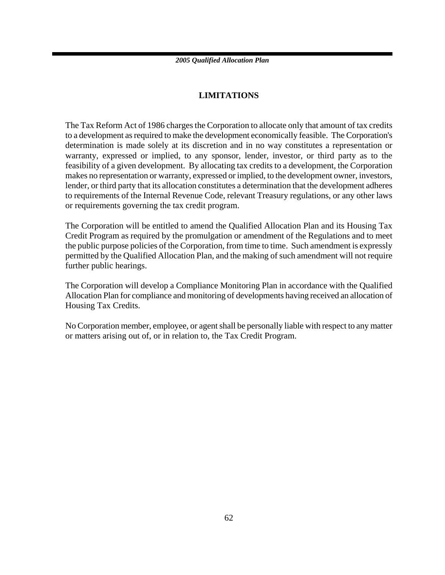### **LIMITATIONS**

The Tax Reform Act of 1986 charges the Corporation to allocate only that amount of tax credits to a development as required to make the development economically feasible. The Corporation's determination is made solely at its discretion and in no way constitutes a representation or warranty, expressed or implied, to any sponsor, lender, investor, or third party as to the feasibility of a given development. By allocating tax credits to a development, the Corporation makes no representation or warranty, expressed or implied, to the development owner, investors, lender, or third party that its allocation constitutes a determination that the development adheres to requirements of the Internal Revenue Code, relevant Treasury regulations, or any other laws or requirements governing the tax credit program.

The Corporation will be entitled to amend the Qualified Allocation Plan and its Housing Tax Credit Program as required by the promulgation or amendment of the Regulations and to meet the public purpose policies of the Corporation, from time to time. Such amendment is expressly permitted by the Qualified Allocation Plan, and the making of such amendment will not require further public hearings.

The Corporation will develop a Compliance Monitoring Plan in accordance with the Qualified Allocation Plan for compliance and monitoring of developments having received an allocation of Housing Tax Credits.

No Corporation member, employee, or agent shall be personally liable with respect to any matter or matters arising out of, or in relation to, the Tax Credit Program.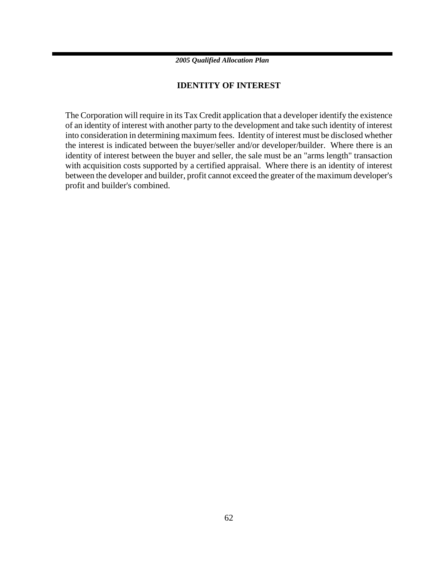### **IDENTITY OF INTEREST**

The Corporation will require in its Tax Credit application that a developer identify the existence of an identity of interest with another party to the development and take such identity of interest into consideration in determining maximum fees. Identity of interest must be disclosed whether the interest is indicated between the buyer/seller and/or developer/builder. Where there is an identity of interest between the buyer and seller, the sale must be an "arms length" transaction with acquisition costs supported by a certified appraisal. Where there is an identity of interest between the developer and builder, profit cannot exceed the greater of the maximum developer's profit and builder's combined.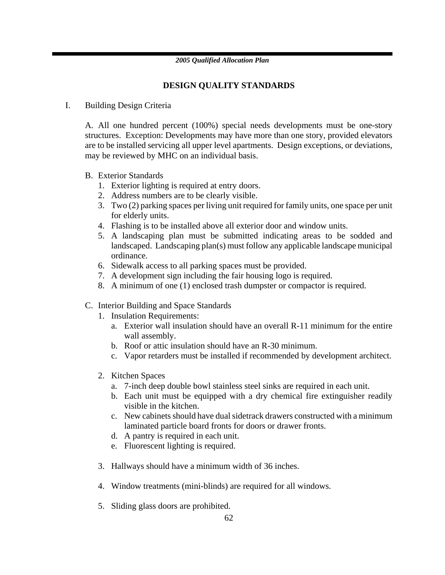### **DESIGN QUALITY STANDARDS**

### I. Building Design Criteria

A. All one hundred percent (100%) special needs developments must be one-story structures. Exception: Developments may have more than one story, provided elevators are to be installed servicing all upper level apartments. Design exceptions, or deviations, may be reviewed by MHC on an individual basis.

- B. Exterior Standards
	- 1. Exterior lighting is required at entry doors.
	- 2. Address numbers are to be clearly visible.
	- 3. Two (2) parking spaces per living unit required for family units, one space per unit for elderly units.
	- 4. Flashing is to be installed above all exterior door and window units.
	- 5. A landscaping plan must be submitted indicating areas to be sodded and landscaped. Landscaping plan(s) must follow any applicable landscape municipal ordinance.
	- 6. Sidewalk access to all parking spaces must be provided.
	- 7. A development sign including the fair housing logo is required.
	- 8. A minimum of one (1) enclosed trash dumpster or compactor is required.
- C. Interior Building and Space Standards
	- 1. Insulation Requirements:
		- a. Exterior wall insulation should have an overall R-11 minimum for the entire wall assembly.
		- b. Roof or attic insulation should have an R-30 minimum.
		- c. Vapor retarders must be installed if recommended by development architect.
	- 2. Kitchen Spaces
		- a. 7-inch deep double bowl stainless steel sinks are required in each unit.
		- b. Each unit must be equipped with a dry chemical fire extinguisher readily visible in the kitchen.
		- c. New cabinets should have dual sidetrack drawers constructed with a minimum laminated particle board fronts for doors or drawer fronts.
		- d. A pantry is required in each unit.
		- e. Fluorescent lighting is required.
	- 3. Hallways should have a minimum width of 36 inches.
	- 4. Window treatments (mini-blinds) are required for all windows.
	- 5. Sliding glass doors are prohibited.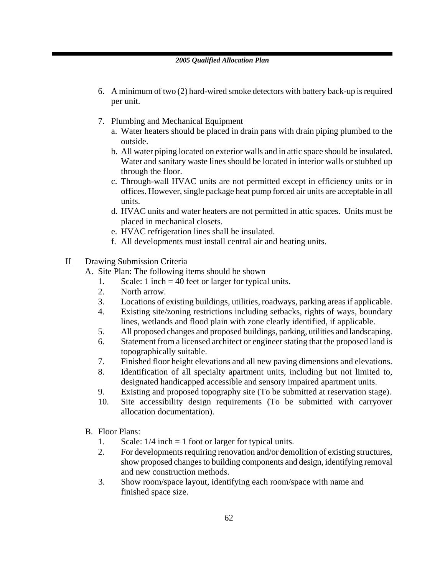- 6. A minimum of two (2) hard-wired smoke detectors with battery back-up is required per unit.
- 7. Plumbing and Mechanical Equipment
	- a. Water heaters should be placed in drain pans with drain piping plumbed to the outside.
	- b. All water piping located on exterior walls and in attic space should be insulated. Water and sanitary waste lines should be located in interior walls or stubbed up through the floor.
	- c. Through-wall HVAC units are not permitted except in efficiency units or in offices. However, single package heat pump forced air units are acceptable in all units.
	- d. HVAC units and water heaters are not permitted in attic spaces. Units must be placed in mechanical closets.
	- e. HVAC refrigeration lines shall be insulated.
	- f. All developments must install central air and heating units.
- II Drawing Submission Criteria
	- A. Site Plan: The following items should be shown
		- 1. Scale: 1 inch = 40 feet or larger for typical units.
		- 2. North arrow.
		- 3. Locations of existing buildings, utilities, roadways, parking areas if applicable.
		- 4. Existing site/zoning restrictions including setbacks, rights of ways, boundary lines, wetlands and flood plain with zone clearly identified, if applicable.
		- 5. All proposed changes and proposed buildings, parking, utilities and landscaping.
		- 6. Statement from a licensed architect or engineer stating that the proposed land is topographically suitable.
		- 7. Finished floor height elevations and all new paving dimensions and elevations.
		- 8. Identification of all specialty apartment units, including but not limited to, designated handicapped accessible and sensory impaired apartment units.
		- 9. Existing and proposed topography site (To be submitted at reservation stage).
		- 10. Site accessibility design requirements (To be submitted with carryover allocation documentation).
	- B. Floor Plans:
		- 1. Scale: 1/4 inch = 1 foot or larger for typical units.
		- 2. For developments requiring renovation and/or demolition of existing structures, show proposed changes to building components and design, identifying removal and new construction methods.
		- 3. Show room/space layout, identifying each room/space with name and finished space size.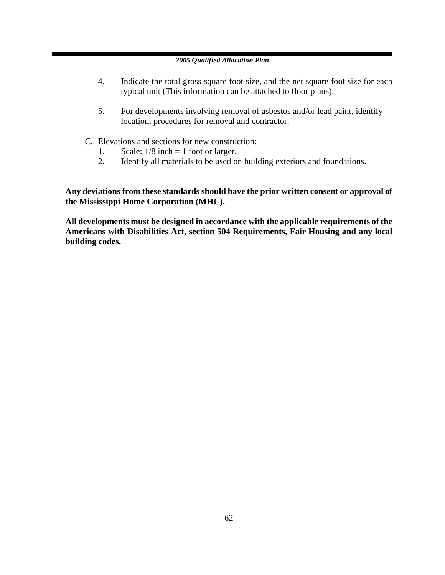- 4. Indicate the total gross square foot size, and the net square foot size for each typical unit (This information can be attached to floor plans).
- 5. For developments involving removal of asbestos and/or lead paint, identify location, procedures for removal and contractor.
- C. Elevations and sections for new construction:
	- 1. Scale:  $1/8$  inch = 1 foot or larger.
	- 2. Identify all materials to be used on building exteriors and foundations.

**Any deviations from these standards should have the prior written consent or approval of the Mississippi Home Corporation (MHC).** 

**All developments must be designed in accordance with the applicable requirements of the Americans with Disabilities Act, section 504 Requirements, Fair Housing and any local building codes.**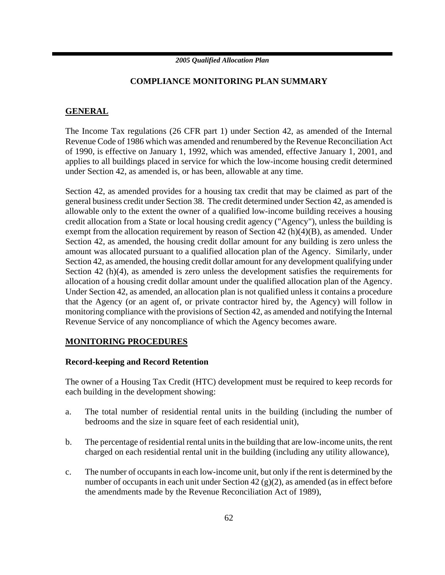### **COMPLIANCE MONITORING PLAN SUMMARY**

### **GENERAL**

The Income Tax regulations (26 CFR part 1) under Section 42, as amended of the Internal Revenue Code of 1986 which was amended and renumbered by the Revenue Reconciliation Act of 1990, is effective on January 1, 1992, which was amended, effective January 1, 2001, and applies to all buildings placed in service for which the low-income housing credit determined under Section 42, as amended is, or has been, allowable at any time.

Section 42, as amended provides for a housing tax credit that may be claimed as part of the general business credit under Section 38. The credit determined under Section 42, as amended is allowable only to the extent the owner of a qualified low-income building receives a housing credit allocation from a State or local housing credit agency ("Agency"), unless the building is exempt from the allocation requirement by reason of Section 42 (h)(4)(B), as amended. Under Section 42, as amended, the housing credit dollar amount for any building is zero unless the amount was allocated pursuant to a qualified allocation plan of the Agency. Similarly, under Section 42, as amended, the housing credit dollar amount for any development qualifying under Section 42 (h)(4), as amended is zero unless the development satisfies the requirements for allocation of a housing credit dollar amount under the qualified allocation plan of the Agency. Under Section 42, as amended, an allocation plan is not qualified unless it contains a procedure that the Agency (or an agent of, or private contractor hired by, the Agency) will follow in monitoring compliance with the provisions of Section 42, as amended and notifying the Internal Revenue Service of any noncompliance of which the Agency becomes aware.

### **MONITORING PROCEDURES**

### **Record-keeping and Record Retention**

The owner of a Housing Tax Credit (HTC) development must be required to keep records for each building in the development showing:

- a. The total number of residential rental units in the building (including the number of bedrooms and the size in square feet of each residential unit),
- b. The percentage of residential rental units in the building that are low-income units, the rent charged on each residential rental unit in the building (including any utility allowance),
- c. The number of occupants in each low-income unit, but only if the rent is determined by the number of occupants in each unit under Section 42 (g)(2), as amended (as in effect before the amendments made by the Revenue Reconciliation Act of 1989),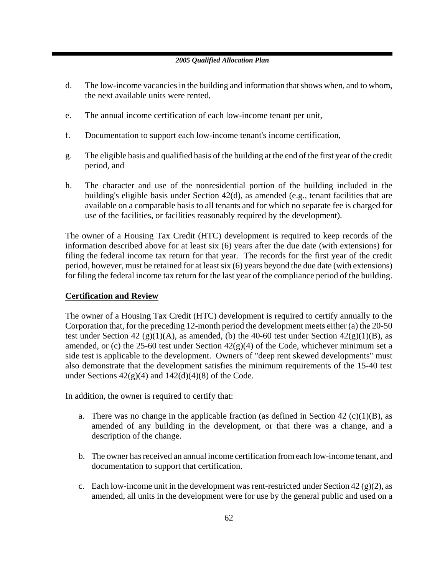- d. The low-income vacancies in the building and information that shows when, and to whom, the next available units were rented,
- e. The annual income certification of each low-income tenant per unit,
- f. Documentation to support each low-income tenant's income certification,
- g. The eligible basis and qualified basis of the building at the end of the first year of the credit period, and
- h. The character and use of the nonresidential portion of the building included in the building's eligible basis under Section 42(d), as amended (e.g., tenant facilities that are available on a comparable basis to all tenants and for which no separate fee is charged for use of the facilities, or facilities reasonably required by the development).

The owner of a Housing Tax Credit (HTC) development is required to keep records of the information described above for at least six (6) years after the due date (with extensions) for filing the federal income tax return for that year. The records for the first year of the credit period, however, must be retained for at least six (6) years beyond the due date (with extensions) for filing the federal income tax return for the last year of the compliance period of the building.

### **Certification and Review**

The owner of a Housing Tax Credit (HTC) development is required to certify annually to the Corporation that, for the preceding 12-month period the development meets either (a) the 20-50 test under Section 42 (g)(1)(A), as amended, (b) the 40-60 test under Section  $42(g)(1)(B)$ , as amended, or (c) the 25-60 test under Section  $42(g)(4)$  of the Code, whichever minimum set a side test is applicable to the development. Owners of "deep rent skewed developments" must also demonstrate that the development satisfies the minimum requirements of the 15-40 test under Sections  $42(g)(4)$  and  $142(d)(4)(8)$  of the Code.

In addition, the owner is required to certify that:

- a. There was no change in the applicable fraction (as defined in Section 42 (c)(1)(B), as amended of any building in the development, or that there was a change, and a description of the change.
- b. The owner has received an annual income certification from each low-income tenant, and documentation to support that certification.
- c. Each low-income unit in the development was rent-restricted under Section 42 (g)(2), as amended, all units in the development were for use by the general public and used on a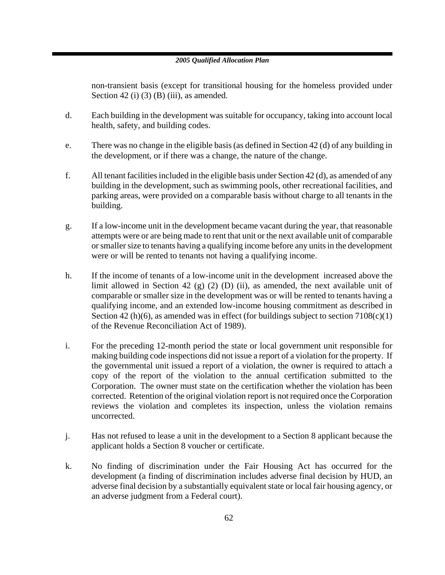non-transient basis (except for transitional housing for the homeless provided under Section 42 (i) (3) (B) (iii), as amended.

- d. Each building in the development was suitable for occupancy, taking into account local health, safety, and building codes.
- e. There was no change in the eligible basis (as defined in Section 42 (d) of any building in the development, or if there was a change, the nature of the change.
- f. All tenant facilities included in the eligible basis under Section 42 (d), as amended of any building in the development, such as swimming pools, other recreational facilities, and parking areas, were provided on a comparable basis without charge to all tenants in the building.
- g. If a low-income unit in the development became vacant during the year, that reasonable attempts were or are being made to rent that unit or the next available unit of comparable or smaller size to tenants having a qualifying income before any units in the development were or will be rented to tenants not having a qualifying income.
- h. If the income of tenants of a low-income unit in the development increased above the limit allowed in Section 42 (g) (2) (D) (ii), as amended, the next available unit of comparable or smaller size in the development was or will be rented to tenants having a qualifying income, and an extended low-income housing commitment as described in Section 42 (h)(6), as amended was in effect (for buildings subject to section  $7108(c)(1)$ of the Revenue Reconciliation Act of 1989).
- i. For the preceding 12-month period the state or local government unit responsible for making building code inspections did not issue a report of a violation for the property. If the governmental unit issued a report of a violation, the owner is required to attach a copy of the report of the violation to the annual certification submitted to the Corporation. The owner must state on the certification whether the violation has been corrected. Retention of the original violation report is not required once the Corporation reviews the violation and completes its inspection, unless the violation remains uncorrected.
- j. Has not refused to lease a unit in the development to a Section 8 applicant because the applicant holds a Section 8 voucher or certificate.
- k. No finding of discrimination under the Fair Housing Act has occurred for the development (a finding of discrimination includes adverse final decision by HUD, an adverse final decision by a substantially equivalent state or local fair housing agency, or an adverse judgment from a Federal court).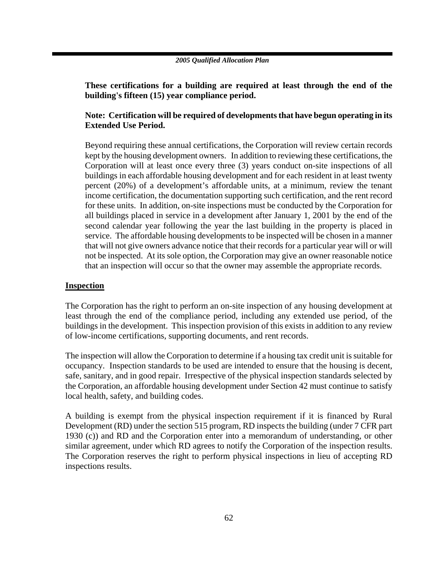**These certifications for a building are required at least through the end of the building's fifteen (15) year compliance period.** 

### **Note: Certification will be required of developments that have begun operating in its Extended Use Period.**

Beyond requiring these annual certifications, the Corporation will review certain records kept by the housing development owners. In addition to reviewing these certifications, the Corporation will at least once every three (3) years conduct on-site inspections of all buildings in each affordable housing development and for each resident in at least twenty percent (20%) of a development's affordable units, at a minimum, review the tenant income certification, the documentation supporting such certification, and the rent record for these units. In addition, on-site inspections must be conducted by the Corporation for all buildings placed in service in a development after January 1, 2001 by the end of the second calendar year following the year the last building in the property is placed in service. The affordable housing developments to be inspected will be chosen in a manner that will not give owners advance notice that their records for a particular year will or will not be inspected. At its sole option, the Corporation may give an owner reasonable notice that an inspection will occur so that the owner may assemble the appropriate records.

### **Inspection**

The Corporation has the right to perform an on-site inspection of any housing development at least through the end of the compliance period, including any extended use period, of the buildings in the development. This inspection provision of this exists in addition to any review of low-income certifications, supporting documents, and rent records.

The inspection will allow the Corporation to determine if a housing tax credit unit is suitable for occupancy. Inspection standards to be used are intended to ensure that the housing is decent, safe, sanitary, and in good repair. Irrespective of the physical inspection standards selected by the Corporation, an affordable housing development under Section 42 must continue to satisfy local health, safety, and building codes.

A building is exempt from the physical inspection requirement if it is financed by Rural Development (RD) under the section 515 program, RD inspects the building (under 7 CFR part 1930 (c)) and RD and the Corporation enter into a memorandum of understanding, or other similar agreement, under which RD agrees to notify the Corporation of the inspection results. The Corporation reserves the right to perform physical inspections in lieu of accepting RD inspections results.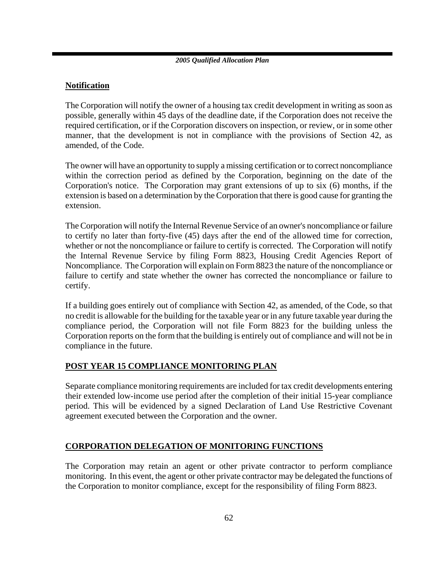### **Notification**

The Corporation will notify the owner of a housing tax credit development in writing as soon as possible, generally within 45 days of the deadline date, if the Corporation does not receive the required certification, or if the Corporation discovers on inspection, or review, or in some other manner, that the development is not in compliance with the provisions of Section 42, as amended, of the Code.

The owner will have an opportunity to supply a missing certification or to correct noncompliance within the correction period as defined by the Corporation, beginning on the date of the Corporation's notice. The Corporation may grant extensions of up to six (6) months, if the extension is based on a determination by the Corporation that there is good cause for granting the extension.

The Corporation will notify the Internal Revenue Service of an owner's noncompliance or failure to certify no later than forty-five (45) days after the end of the allowed time for correction, whether or not the noncompliance or failure to certify is corrected. The Corporation will notify the Internal Revenue Service by filing Form 8823, Housing Credit Agencies Report of Noncompliance. The Corporation will explain on Form 8823 the nature of the noncompliance or failure to certify and state whether the owner has corrected the noncompliance or failure to certify.

If a building goes entirely out of compliance with Section 42, as amended, of the Code, so that no credit is allowable for the building for the taxable year or in any future taxable year during the compliance period, the Corporation will not file Form 8823 for the building unless the Corporation reports on the form that the building is entirely out of compliance and will not be in compliance in the future.

### **POST YEAR 15 COMPLIANCE MONITORING PLAN**

Separate compliance monitoring requirements are included for tax credit developments entering their extended low-income use period after the completion of their initial 15-year compliance period. This will be evidenced by a signed Declaration of Land Use Restrictive Covenant agreement executed between the Corporation and the owner.

### **CORPORATION DELEGATION OF MONITORING FUNCTIONS**

The Corporation may retain an agent or other private contractor to perform compliance monitoring. In this event, the agent or other private contractor may be delegated the functions of the Corporation to monitor compliance, except for the responsibility of filing Form 8823.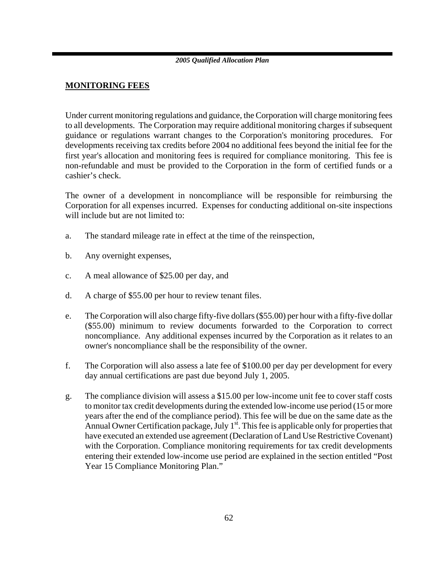### **MONITORING FEES**

Under current monitoring regulations and guidance, the Corporation will charge monitoring fees to all developments. The Corporation may require additional monitoring charges if subsequent guidance or regulations warrant changes to the Corporation's monitoring procedures. For developments receiving tax credits before 2004 no additional fees beyond the initial fee for the first year's allocation and monitoring fees is required for compliance monitoring. This fee is non-refundable and must be provided to the Corporation in the form of certified funds or a cashier's check.

The owner of a development in noncompliance will be responsible for reimbursing the Corporation for all expenses incurred. Expenses for conducting additional on-site inspections will include but are not limited to:

- a. The standard mileage rate in effect at the time of the reinspection,
- b. Any overnight expenses,
- c. A meal allowance of \$25.00 per day, and
- d. A charge of \$55.00 per hour to review tenant files.
- e. The Corporation will also charge fifty-five dollars (\$55.00) per hour with a fifty-five dollar (\$55.00) minimum to review documents forwarded to the Corporation to correct noncompliance. Any additional expenses incurred by the Corporation as it relates to an owner's noncompliance shall be the responsibility of the owner.
- f. The Corporation will also assess a late fee of \$100.00 per day per development for every day annual certifications are past due beyond July 1, 2005.
- g. The compliance division will assess a \$15.00 per low-income unit fee to cover staff costs to monitor tax credit developments during the extended low-income use period (15 or more years after the end of the compliance period). This fee will be due on the same date as the Annual Owner Certification package, July  $1<sup>st</sup>$ . This fee is applicable only for properties that have executed an extended use agreement (Declaration of Land Use Restrictive Covenant) with the Corporation. Compliance monitoring requirements for tax credit developments entering their extended low-income use period are explained in the section entitled "Post Year 15 Compliance Monitoring Plan."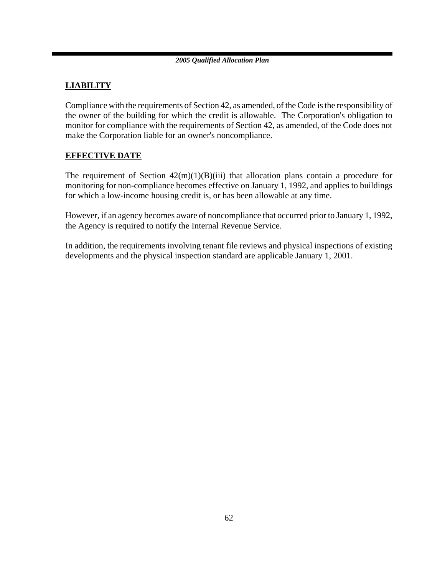### **LIABILITY**

Compliance with the requirements of Section 42, as amended, of the Code is the responsibility of the owner of the building for which the credit is allowable. The Corporation's obligation to monitor for compliance with the requirements of Section 42, as amended, of the Code does not make the Corporation liable for an owner's noncompliance.

### **EFFECTIVE DATE**

The requirement of Section  $42(m)(1)(B)(iii)$  that allocation plans contain a procedure for monitoring for non-compliance becomes effective on January 1, 1992, and applies to buildings for which a low-income housing credit is, or has been allowable at any time.

However, if an agency becomes aware of noncompliance that occurred prior to January 1, 1992, the Agency is required to notify the Internal Revenue Service.

In addition, the requirements involving tenant file reviews and physical inspections of existing developments and the physical inspection standard are applicable January 1, 2001.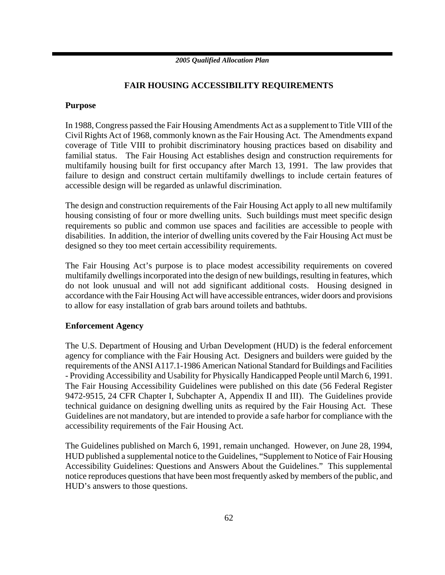### **FAIR HOUSING ACCESSIBILITY REQUIREMENTS**

### **Purpose**

In 1988, Congress passed the Fair Housing Amendments Act as a supplement to Title VIII of the Civil Rights Act of 1968, commonly known as the Fair Housing Act. The Amendments expand coverage of Title VIII to prohibit discriminatory housing practices based on disability and familial status. The Fair Housing Act establishes design and construction requirements for multifamily housing built for first occupancy after March 13, 1991. The law provides that failure to design and construct certain multifamily dwellings to include certain features of accessible design will be regarded as unlawful discrimination.

The design and construction requirements of the Fair Housing Act apply to all new multifamily housing consisting of four or more dwelling units. Such buildings must meet specific design requirements so public and common use spaces and facilities are accessible to people with disabilities. In addition, the interior of dwelling units covered by the Fair Housing Act must be designed so they too meet certain accessibility requirements.

The Fair Housing Act's purpose is to place modest accessibility requirements on covered multifamily dwellings incorporated into the design of new buildings, resulting in features, which do not look unusual and will not add significant additional costs. Housing designed in accordance with the Fair Housing Act will have accessible entrances, wider doors and provisions to allow for easy installation of grab bars around toilets and bathtubs.

### **Enforcement Agency**

The U.S. Department of Housing and Urban Development (HUD) is the federal enforcement agency for compliance with the Fair Housing Act. Designers and builders were guided by the requirements of the ANSI A117.1-1986 American National Standard for Buildings and Facilities - Providing Accessibility and Usability for Physically Handicapped People until March 6, 1991. The Fair Housing Accessibility Guidelines were published on this date (56 Federal Register 9472-9515, 24 CFR Chapter I, Subchapter A, Appendix II and III). The Guidelines provide technical guidance on designing dwelling units as required by the Fair Housing Act. These Guidelines are not mandatory, but are intended to provide a safe harbor for compliance with the accessibility requirements of the Fair Housing Act.

The Guidelines published on March 6, 1991, remain unchanged. However, on June 28, 1994, HUD published a supplemental notice to the Guidelines, "Supplement to Notice of Fair Housing Accessibility Guidelines: Questions and Answers About the Guidelines." This supplemental notice reproduces questions that have been most frequently asked by members of the public, and HUD's answers to those questions.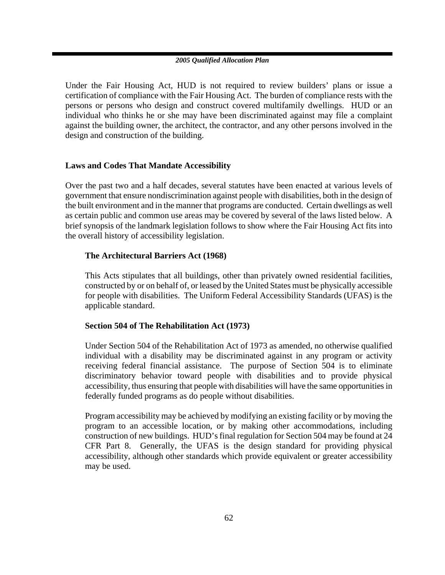Under the Fair Housing Act, HUD is not required to review builders' plans or issue a certification of compliance with the Fair Housing Act. The burden of compliance rests with the persons or persons who design and construct covered multifamily dwellings. HUD or an individual who thinks he or she may have been discriminated against may file a complaint against the building owner, the architect, the contractor, and any other persons involved in the design and construction of the building.

### **Laws and Codes That Mandate Accessibility**

Over the past two and a half decades, several statutes have been enacted at various levels of government that ensure nondiscrimination against people with disabilities, both in the design of the built environment and in the manner that programs are conducted. Certain dwellings as well as certain public and common use areas may be covered by several of the laws listed below. A brief synopsis of the landmark legislation follows to show where the Fair Housing Act fits into the overall history of accessibility legislation.

### **The Architectural Barriers Act (1968)**

This Acts stipulates that all buildings, other than privately owned residential facilities, constructed by or on behalf of, or leased by the United States must be physically accessible for people with disabilities. The Uniform Federal Accessibility Standards (UFAS) is the applicable standard.

### **Section 504 of The Rehabilitation Act (1973)**

Under Section 504 of the Rehabilitation Act of 1973 as amended, no otherwise qualified individual with a disability may be discriminated against in any program or activity receiving federal financial assistance. The purpose of Section 504 is to eliminate discriminatory behavior toward people with disabilities and to provide physical accessibility, thus ensuring that people with disabilities will have the same opportunities in federally funded programs as do people without disabilities.

Program accessibility may be achieved by modifying an existing facility or by moving the program to an accessible location, or by making other accommodations, including construction of new buildings. HUD's final regulation for Section 504 may be found at 24 CFR Part 8. Generally, the UFAS is the design standard for providing physical accessibility, although other standards which provide equivalent or greater accessibility may be used.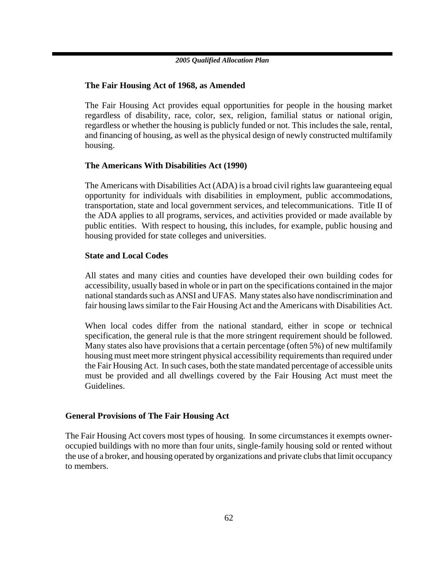### **The Fair Housing Act of 1968, as Amended**

The Fair Housing Act provides equal opportunities for people in the housing market regardless of disability, race, color, sex, religion, familial status or national origin, regardless or whether the housing is publicly funded or not. This includes the sale, rental, and financing of housing, as well as the physical design of newly constructed multifamily housing.

### **The Americans With Disabilities Act (1990)**

The Americans with Disabilities Act (ADA) is a broad civil rights law guaranteeing equal opportunity for individuals with disabilities in employment, public accommodations, transportation, state and local government services, and telecommunications. Title II of the ADA applies to all programs, services, and activities provided or made available by public entities. With respect to housing, this includes, for example, public housing and housing provided for state colleges and universities.

### **State and Local Codes**

All states and many cities and counties have developed their own building codes for accessibility, usually based in whole or in part on the specifications contained in the major national standards such as ANSI and UFAS. Many states also have nondiscrimination and fair housing laws similar to the Fair Housing Act and the Americans with Disabilities Act.

When local codes differ from the national standard, either in scope or technical specification, the general rule is that the more stringent requirement should be followed. Many states also have provisions that a certain percentage (often 5%) of new multifamily housing must meet more stringent physical accessibility requirements than required under the Fair Housing Act. In such cases, both the state mandated percentage of accessible units must be provided and all dwellings covered by the Fair Housing Act must meet the Guidelines.

### **General Provisions of The Fair Housing Act**

The Fair Housing Act covers most types of housing. In some circumstances it exempts owneroccupied buildings with no more than four units, single-family housing sold or rented without the use of a broker, and housing operated by organizations and private clubs that limit occupancy to members.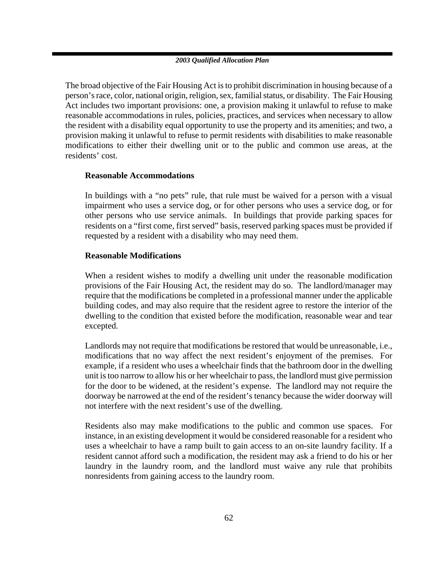The broad objective of the Fair Housing Act is to prohibit discrimination in housing because of a person's race, color, national origin, religion, sex, familial status, or disability. The Fair Housing Act includes two important provisions: one, a provision making it unlawful to refuse to make reasonable accommodations in rules, policies, practices, and services when necessary to allow the resident with a disability equal opportunity to use the property and its amenities; and two, a provision making it unlawful to refuse to permit residents with disabilities to make reasonable modifications to either their dwelling unit or to the public and common use areas, at the residents' cost.

### **Reasonable Accommodations**

In buildings with a "no pets" rule, that rule must be waived for a person with a visual impairment who uses a service dog, or for other persons who uses a service dog, or for other persons who use service animals. In buildings that provide parking spaces for residents on a "first come, first served" basis, reserved parking spaces must be provided if requested by a resident with a disability who may need them.

### **Reasonable Modifications**

When a resident wishes to modify a dwelling unit under the reasonable modification provisions of the Fair Housing Act, the resident may do so. The landlord/manager may require that the modifications be completed in a professional manner under the applicable building codes, and may also require that the resident agree to restore the interior of the dwelling to the condition that existed before the modification, reasonable wear and tear excepted.

Landlords may not require that modifications be restored that would be unreasonable, i.e., modifications that no way affect the next resident's enjoyment of the premises. For example, if a resident who uses a wheelchair finds that the bathroom door in the dwelling unit is too narrow to allow his or her wheelchair to pass, the landlord must give permission for the door to be widened, at the resident's expense. The landlord may not require the doorway be narrowed at the end of the resident's tenancy because the wider doorway will not interfere with the next resident's use of the dwelling.

Residents also may make modifications to the public and common use spaces. For instance, in an existing development it would be considered reasonable for a resident who uses a wheelchair to have a ramp built to gain access to an on-site laundry facility. If a resident cannot afford such a modification, the resident may ask a friend to do his or her laundry in the laundry room, and the landlord must waive any rule that prohibits nonresidents from gaining access to the laundry room.